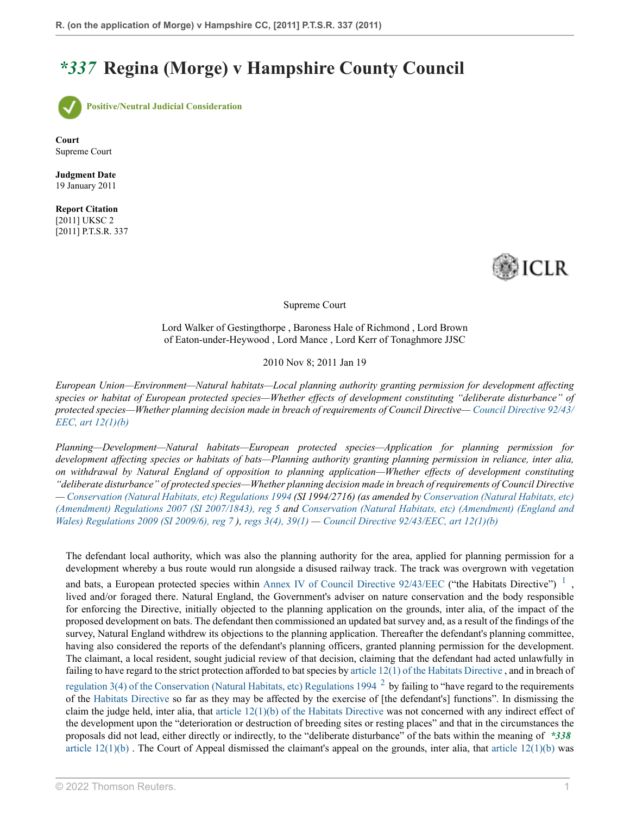# *\*337* **Regina (Morge) v Hampshire County Council**



**Court** Supreme Court

**Judgment Date** 19 January 2011

**Report Citation** [2011] UKSC 2 [2011] P.T.S.R. 337

<span id="page-0-0"></span>

Supreme Court

Lord Walker of Gestingthorpe , Baroness Hale of Richmond , Lord Brown of Eaton-under-Heywood , Lord Mance , Lord Kerr of Tonaghmore JJSC

2010 Nov 8; 2011 Jan 19

*European Union—Environment—Natural habitats—Local planning authority granting permission for development affecting species or habitat of European protected species—Whether effects of development constituting "deliberate disturbance" of protected species—Whether planning decision made in breach of requirements of Council Directive— [Council Directive 92/43/](http://uk.westlaw.com/Document/I2E7B1B84B63844289D4DF2BB1F56AEE0/View/FullText.html?originationContext=document&transitionType=DocumentItem&vr=3.0&rs=PLUK1.0&contextData=(sc.Search)) [EEC, art 12\(1\)\(b\)](http://uk.westlaw.com/Document/I2E7B1B84B63844289D4DF2BB1F56AEE0/View/FullText.html?originationContext=document&transitionType=DocumentItem&vr=3.0&rs=PLUK1.0&contextData=(sc.Search))*

*Planning—Development—Natural habitats—European protected species—Application for planning permission for development affecting species or habitats of bats—Planning authority granting planning permission in reliance, inter alia, on withdrawal by Natural England of opposition to planning application—Whether effects of development constituting "deliberate disturbance" of protected species—Whether planning decision made in breach of requirements of Council Directive — [Conservation \(Natural Habitats, etc\) Regulations 1994](http://uk.westlaw.com/Document/I7787AEA0E42311DAA7CF8F68F6EE57AB/View/FullText.html?originationContext=document&transitionType=DocumentItem&vr=3.0&rs=PLUK1.0&contextData=(sc.Search)) (SI 1994/2716) (as amended by [Conservation \(Natural Habitats, etc\)](http://uk.westlaw.com/Document/I451AF62032B011DCAFCDF87E7ED676D3/View/FullText.html?originationContext=document&transitionType=DocumentItem&vr=3.0&rs=PLUK1.0&contextData=(sc.Search)) [\(Amendment\) Regulations 2007 \(SI 2007/1843\), reg 5](http://uk.westlaw.com/Document/I451AF62032B011DCAFCDF87E7ED676D3/View/FullText.html?originationContext=document&transitionType=DocumentItem&vr=3.0&rs=PLUK1.0&contextData=(sc.Search)) and [Conservation \(Natural Habitats, etc\) \(Amendment\) \(England and](http://uk.westlaw.com/Document/I2355FDD0E13411DD80FFC33C3CC4DA53/View/FullText.html?originationContext=document&transitionType=DocumentItem&vr=3.0&rs=PLUK1.0&contextData=(sc.Search)) [Wales\) Regulations 2009 \(SI 2009/6\), reg 7](http://uk.westlaw.com/Document/I2355FDD0E13411DD80FFC33C3CC4DA53/View/FullText.html?originationContext=document&transitionType=DocumentItem&vr=3.0&rs=PLUK1.0&contextData=(sc.Search)) ), [regs 3\(4\), 39\(1\)](http://uk.westlaw.com/Document/I2E7B1B84B63844289D4DF2BB1F56AEE0/View/FullText.html?originationContext=document&transitionType=DocumentItem&vr=3.0&rs=PLUK1.0&contextData=(sc.Search)) — [Council Directive 92/43/EEC, art 12\(1\)\(b\)](http://uk.westlaw.com/Document/I2E7B1B84B63844289D4DF2BB1F56AEE0/View/FullText.html?originationContext=document&transitionType=DocumentItem&vr=3.0&rs=PLUK1.0&contextData=(sc.Search))*

The defendant local authority, which was also the planning authority for the area, applied for planning permission for a development whereby a bus route would run alongside a disused railway track. The track was overgrown with vegetation

and bats, a European protected species within [Annex IV of Council Directive 92/43/EEC](http://uk.westlaw.com/Document/I2E7B1B84B63844289D4DF2BB1F56AEE0/View/FullText.html?originationContext=document&transitionType=DocumentItem&vr=3.0&rs=PLUK1.0&contextData=(sc.Search)) ("the Habitats Directive")  $^{-1}$  $^{-1}$  $^{-1}$ , lived and/or foraged there. Natural England, the Government's adviser on nature conservation and the body responsible for enforcing the Directive, initially objected to the planning application on the grounds, inter alia, of the impact of the proposed development on bats. The defendant then commissioned an updated bat survey and, as a result of the findings of the survey, Natural England withdrew its objections to the planning application. Thereafter the defendant's planning committee, having also considered the reports of the defendant's planning officers, granted planning permission for the development. The claimant, a local resident, sought judicial review of that decision, claiming that the defendant had acted unlawfully in failing to have regard to the strict protection afforded to bat species by [article 12\(1\) of the Habitats Directive](http://uk.westlaw.com/Document/I2E7B1B84B63844289D4DF2BB1F56AEE0/View/FullText.html?originationContext=document&transitionType=DocumentItem&vr=3.0&rs=PLUK1.0&contextData=(sc.Search)) , and in breach of

<span id="page-0-1"></span>[regulation 3\(4\) of the Conservation \(Natural Habitats, etc\) Regulations 1994](http://uk.westlaw.com/Document/I0E537660E44811DA8D70A0E70A78ED65/View/FullText.html?originationContext=document&transitionType=DocumentItem&vr=3.0&rs=PLUK1.0&contextData=(sc.Search))  $^2$  $^2$  by failing to "have regard to the requirements of the [Habitats Directive](http://uk.westlaw.com/Document/I2E7B1B84B63844289D4DF2BB1F56AEE0/View/FullText.html?originationContext=document&transitionType=DocumentItem&vr=3.0&rs=PLUK1.0&contextData=(sc.Search)) so far as they may be affected by the exercise of [the defendant's] functions". In dismissing the claim the judge held, inter alia, that [article 12\(1\)\(b\) of the Habitats Directive](http://uk.westlaw.com/Document/I2E7B1B84B63844289D4DF2BB1F56AEE0/View/FullText.html?originationContext=document&transitionType=DocumentItem&vr=3.0&rs=PLUK1.0&contextData=(sc.Search)) was not concerned with any indirect effect of the development upon the "deterioration or destruction of breeding sites or resting places" and that in the circumstances the proposals did not lead, either directly or indirectly, to the "deliberate disturbance" of the bats within the meaning of *\*338* article  $12(1)(b)$ . The Court of Appeal dismissed the claimant's appeal on the grounds, inter alia, that article  $12(1)(b)$  was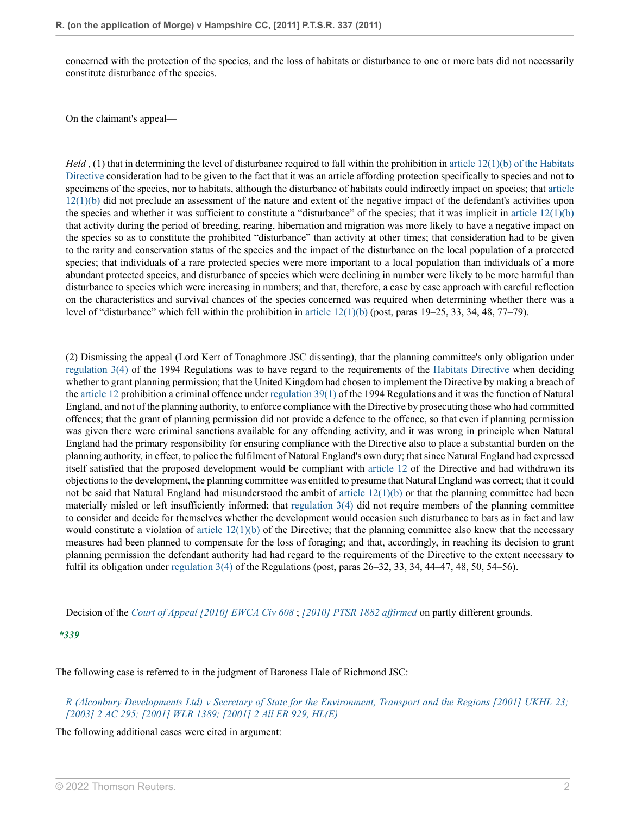concerned with the protection of the species, and the loss of habitats or disturbance to one or more bats did not necessarily constitute disturbance of the species.

On the claimant's appeal—

*Held* , (1) that in determining the level of disturbance required to fall within the prohibition in [article 12\(1\)\(b\) of the Habitats](http://uk.westlaw.com/Document/I2E7B1B84B63844289D4DF2BB1F56AEE0/View/FullText.html?originationContext=document&transitionType=DocumentItem&vr=3.0&rs=PLUK1.0&contextData=(sc.Search)) [Directive](http://uk.westlaw.com/Document/I2E7B1B84B63844289D4DF2BB1F56AEE0/View/FullText.html?originationContext=document&transitionType=DocumentItem&vr=3.0&rs=PLUK1.0&contextData=(sc.Search)) consideration had to be given to the fact that it was an article affording protection specifically to species and not to specimens of the species, nor to habitats, although the disturbance of habitats could indirectly impact on species; that [article](http://uk.westlaw.com/Document/I2E7B1B84B63844289D4DF2BB1F56AEE0/View/FullText.html?originationContext=document&transitionType=DocumentItem&vr=3.0&rs=PLUK1.0&contextData=(sc.Search))  $12(1)(b)$  did not preclude an assessment of the nature and extent of the negative impact of the defendant's activities upon the species and whether it was sufficient to constitute a "disturbance" of the species; that it was implicit in article  $12(1)(b)$ that activity during the period of breeding, rearing, hibernation and migration was more likely to have a negative impact on the species so as to constitute the prohibited "disturbance" than activity at other times; that consideration had to be given to the rarity and conservation status of the species and the impact of the disturbance on the local population of a protected species; that individuals of a rare protected species were more important to a local population than individuals of a more abundant protected species, and disturbance of species which were declining in number were likely to be more harmful than disturbance to species which were increasing in numbers; and that, therefore, a case by case approach with careful reflection on the characteristics and survival chances of the species concerned was required when determining whether there was a level of "disturbance" which fell within the prohibition in article  $12(1)(b)$  (post, paras  $19-25$ , 33, 34, 48, 77–79).

(2) Dismissing the appeal (Lord Kerr of Tonaghmore JSC dissenting), that the planning committee's only obligation under [regulation 3\(4\)](http://uk.westlaw.com/Document/I0E537660E44811DA8D70A0E70A78ED65/View/FullText.html?originationContext=document&transitionType=DocumentItem&vr=3.0&rs=PLUK1.0&contextData=(sc.Search)) of the 1994 Regulations was to have regard to the requirements of the [Habitats Directive](http://uk.westlaw.com/Document/I2E7B1B84B63844289D4DF2BB1F56AEE0/View/FullText.html?originationContext=document&transitionType=DocumentItem&vr=3.0&rs=PLUK1.0&contextData=(sc.Search)) when deciding whether to grant planning permission; that the United Kingdom had chosen to implement the Directive by making a breach of the [article 12](http://uk.westlaw.com/Document/I2E7B1B84B63844289D4DF2BB1F56AEE0/View/FullText.html?originationContext=document&transitionType=DocumentItem&vr=3.0&rs=PLUK1.0&contextData=(sc.Search)) prohibition a criminal offence under [regulation 39\(1\)](http://uk.westlaw.com/Document/I12D82941E44A11DA8D70A0E70A78ED65/View/FullText.html?originationContext=document&transitionType=DocumentItem&vr=3.0&rs=PLUK1.0&contextData=(sc.Search)) of the 1994 Regulations and it was the function of Natural England, and not of the planning authority, to enforce compliance with the Directive by prosecuting those who had committed offences; that the grant of planning permission did not provide a defence to the offence, so that even if planning permission was given there were criminal sanctions available for any offending activity, and it was wrong in principle when Natural England had the primary responsibility for ensuring compliance with the Directive also to place a substantial burden on the planning authority, in effect, to police the fulfilment of Natural England's own duty; that since Natural England had expressed itself satisfied that the proposed development would be compliant with [article 12](http://uk.westlaw.com/Document/I2E7B1B84B63844289D4DF2BB1F56AEE0/View/FullText.html?originationContext=document&transitionType=DocumentItem&vr=3.0&rs=PLUK1.0&contextData=(sc.Search)) of the Directive and had withdrawn its objections to the development, the planning committee was entitled to presume that Natural England was correct; that it could not be said that Natural England had misunderstood the ambit of article  $12(1)(b)$  or that the planning committee had been materially misled or left insufficiently informed; that [regulation 3\(4\)](http://uk.westlaw.com/Document/I0E537660E44811DA8D70A0E70A78ED65/View/FullText.html?originationContext=document&transitionType=DocumentItem&vr=3.0&rs=PLUK1.0&contextData=(sc.Search)) did not require members of the planning committee to consider and decide for themselves whether the development would occasion such disturbance to bats as in fact and law would constitute a violation of article  $12(1)(b)$  of the Directive; that the planning committee also knew that the necessary measures had been planned to compensate for the loss of foraging; and that, accordingly, in reaching its decision to grant planning permission the defendant authority had had regard to the requirements of the Directive to the extent necessary to fulfil its obligation under regulation  $3(4)$  of the Regulations (post, paras  $26-32$ ,  $33$ ,  $34$ ,  $44-47$ ,  $48$ ,  $50$ ,  $54-56$ ).

Decision of the *[Court of Appeal \[2010\] EWCA Civ 608](http://uk.westlaw.com/Document/I93EB1A1074E711DF8980B5C47EE32062/View/FullText.html?originationContext=document&transitionType=DocumentItem&vr=3.0&rs=PLUK1.0&contextData=(sc.Search))* ; *[\[2010\] PTSR 1882 affirmed](http://uk.westlaw.com/Document/I93EB1A1074E711DF8980B5C47EE32062/View/FullText.html?originationContext=document&transitionType=DocumentItem&vr=3.0&rs=PLUK1.0&contextData=(sc.Search))* on partly different grounds.

*\*339*

The following case is referred to in the judgment of Baroness Hale of Richmond JSC:

*[R \(Alconbury Developments Ltd\) v Secretary of State for the Environment, Transport and the Regions \[2001\] UKHL 23;](http://uk.westlaw.com/Document/I79A6F2E0E42811DA8FC2A0F0355337E9/View/FullText.html?originationContext=document&transitionType=DocumentItem&vr=3.0&rs=PLUK1.0&contextData=(sc.Search)) [\[2003\] 2 AC 295; \[2001\] WLR 1389; \[2001\] 2 All ER 929, HL\(E\)](http://uk.westlaw.com/Document/I79A6F2E0E42811DA8FC2A0F0355337E9/View/FullText.html?originationContext=document&transitionType=DocumentItem&vr=3.0&rs=PLUK1.0&contextData=(sc.Search))*

The following additional cases were cited in argument: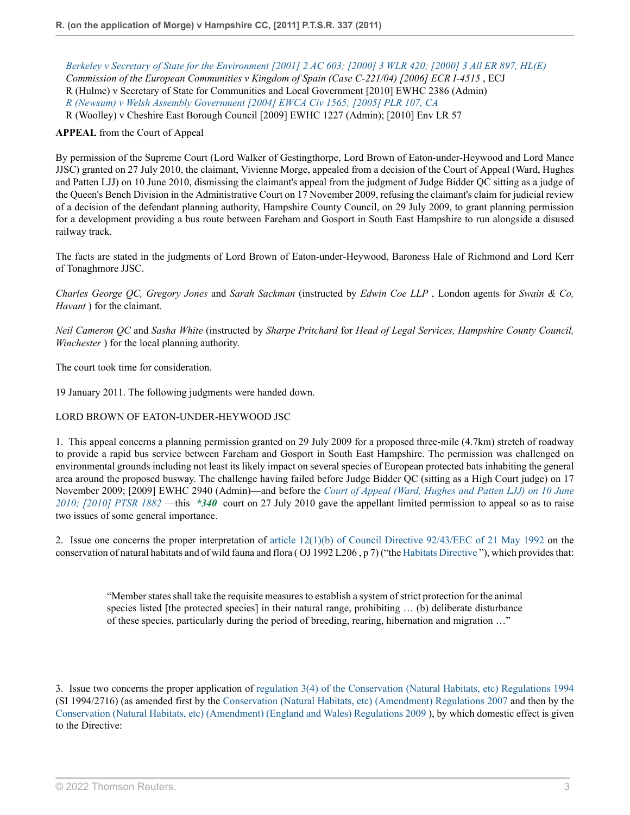*[Berkeley v Secretary of State for the Environment \[2001\] 2 AC 603; \[2000\] 3 WLR 420; \[2000\] 3 All ER 897, HL\(E\)](http://uk.westlaw.com/Document/I73E11801E42711DA8FC2A0F0355337E9/View/FullText.html?originationContext=document&transitionType=DocumentItem&vr=3.0&rs=PLUK1.0&contextData=(sc.Search)) Commission of the European Communities v Kingdom of Spain (Case C-221/04) [2006] ECR I-4515* , ECJ R (Hulme) v Secretary of State for Communities and Local Government [2010] EWHC 2386 (Admin) *[R \(Newsum\) v Welsh Assembly Government \[2004\] EWCA Civ 1565; \[2005\] PLR 107, CA](http://uk.westlaw.com/Document/I7E828A40E42811DA8FC2A0F0355337E9/View/FullText.html?originationContext=document&transitionType=DocumentItem&vr=3.0&rs=PLUK1.0&contextData=(sc.Search))* R (Woolley) v Cheshire East Borough Council [2009] EWHC 1227 (Admin); [2010] Env LR 57

**APPEAL** from the Court of Appeal

By permission of the Supreme Court (Lord Walker of Gestingthorpe, Lord Brown of Eaton-under-Heywood and Lord Mance JJSC) granted on 27 July 2010, the claimant, Vivienne Morge, appealed from a decision of the Court of Appeal (Ward, Hughes and Patten LJJ) on 10 June 2010, dismissing the claimant's appeal from the judgment of Judge Bidder QC sitting as a judge of the Queen's Bench Division in the Administrative Court on 17 November 2009, refusing the claimant's claim for judicial review of a decision of the defendant planning authority, Hampshire County Council, on 29 July 2009, to grant planning permission for a development providing a bus route between Fareham and Gosport in South East Hampshire to run alongside a disused railway track.

The facts are stated in the judgments of Lord Brown of Eaton-under-Heywood, Baroness Hale of Richmond and Lord Kerr of Tonaghmore JJSC.

*Charles George QC, Gregory Jones* and *Sarah Sackman* (instructed by *Edwin Coe LLP* , London agents for *Swain & Co, Havant* ) for the claimant.

*Neil Cameron QC* and *Sasha White* (instructed by *Sharpe Pritchard* for *Head of Legal Services, Hampshire County Council, Winchester* ) for the local planning authority.

The court took time for consideration.

19 January 2011. The following judgments were handed down.

LORD BROWN OF EATON-UNDER-HEYWOOD JSC

1. This appeal concerns a planning permission granted on 29 July 2009 for a proposed three-mile (4.7km) stretch of roadway to provide a rapid bus service between Fareham and Gosport in South East Hampshire. The permission was challenged on environmental grounds including not least its likely impact on several species of European protected bats inhabiting the general area around the proposed busway. The challenge having failed before Judge Bidder QC (sitting as a High Court judge) on 17 November 2009; [2009] EWHC 2940 (Admin)—and before the *[Court of Appeal \(Ward, Hughes and Patten LJJ\) on 10 June](http://uk.westlaw.com/Document/I93EB1A1074E711DF8980B5C47EE32062/View/FullText.html?originationContext=document&transitionType=DocumentItem&vr=3.0&rs=PLUK1.0&contextData=(sc.Search)) [2010; \[2010\] PTSR 1882](http://uk.westlaw.com/Document/I93EB1A1074E711DF8980B5C47EE32062/View/FullText.html?originationContext=document&transitionType=DocumentItem&vr=3.0&rs=PLUK1.0&contextData=(sc.Search))* —this *\*340* court on 27 July 2010 gave the appellant limited permission to appeal so as to raise two issues of some general importance.

2. Issue one concerns the proper interpretation of [article 12\(1\)\(b\) of Council Directive 92/43/EEC of 21 May 1992](http://uk.westlaw.com/Document/I2E7B1B84B63844289D4DF2BB1F56AEE0/View/FullText.html?originationContext=document&transitionType=DocumentItem&vr=3.0&rs=PLUK1.0&contextData=(sc.Search)) on the conservation of natural habitats and of wild fauna and flora ( OJ 1992 L206 , p 7) ("the [Habitats Directive](http://uk.westlaw.com/Document/I2E7B1B84B63844289D4DF2BB1F56AEE0/View/FullText.html?originationContext=document&transitionType=DocumentItem&vr=3.0&rs=PLUK1.0&contextData=(sc.Search)) "), which provides that:

"Member states shall take the requisite measures to establish a system of strict protection for the animal species listed [the protected species] in their natural range, prohibiting … (b) deliberate disturbance of these species, particularly during the period of breeding, rearing, hibernation and migration …"

3. Issue two concerns the proper application of [regulation 3\(4\) of the Conservation \(Natural Habitats, etc\) Regulations 1994](http://uk.westlaw.com/Document/I0E537660E44811DA8D70A0E70A78ED65/View/FullText.html?originationContext=document&transitionType=DocumentItem&vr=3.0&rs=PLUK1.0&contextData=(sc.Search)) (SI 1994/2716) (as amended first by the [Conservation \(Natural Habitats, etc\) \(Amendment\) Regulations 2007](http://uk.westlaw.com/Document/I22BD9BD0327B11DC8D16904A477F277C/View/FullText.html?originationContext=document&transitionType=DocumentItem&vr=3.0&rs=PLUK1.0&contextData=(sc.Search)) and then by the [Conservation \(Natural Habitats, etc\) \(Amendment\) \(England and Wales\) Regulations 2009](http://uk.westlaw.com/Document/I7021FC00E13311DDB257EBA0D604D1D4/View/FullText.html?originationContext=document&transitionType=DocumentItem&vr=3.0&rs=PLUK1.0&contextData=(sc.Search)) ), by which domestic effect is given to the Directive: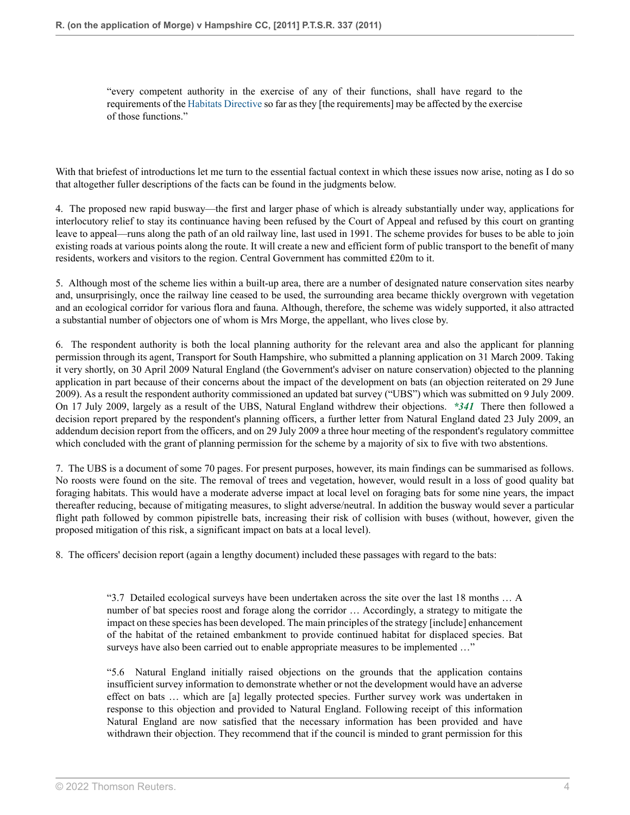"every competent authority in the exercise of any of their functions, shall have regard to the requirements of the [Habitats Directive](http://uk.westlaw.com/Document/I2E7B1B84B63844289D4DF2BB1F56AEE0/View/FullText.html?originationContext=document&transitionType=DocumentItem&vr=3.0&rs=PLUK1.0&contextData=(sc.Search)) so far as they [the requirements] may be affected by the exercise of those functions."

With that briefest of introductions let me turn to the essential factual context in which these issues now arise, noting as I do so that altogether fuller descriptions of the facts can be found in the judgments below.

4. The proposed new rapid busway—the first and larger phase of which is already substantially under way, applications for interlocutory relief to stay its continuance having been refused by the Court of Appeal and refused by this court on granting leave to appeal—runs along the path of an old railway line, last used in 1991. The scheme provides for buses to be able to join existing roads at various points along the route. It will create a new and efficient form of public transport to the benefit of many residents, workers and visitors to the region. Central Government has committed £20m to it.

5. Although most of the scheme lies within a built-up area, there are a number of designated nature conservation sites nearby and, unsurprisingly, once the railway line ceased to be used, the surrounding area became thickly overgrown with vegetation and an ecological corridor for various flora and fauna. Although, therefore, the scheme was widely supported, it also attracted a substantial number of objectors one of whom is Mrs Morge, the appellant, who lives close by.

6. The respondent authority is both the local planning authority for the relevant area and also the applicant for planning permission through its agent, Transport for South Hampshire, who submitted a planning application on 31 March 2009. Taking it very shortly, on 30 April 2009 Natural England (the Government's adviser on nature conservation) objected to the planning application in part because of their concerns about the impact of the development on bats (an objection reiterated on 29 June 2009). As a result the respondent authority commissioned an updated bat survey ("UBS") which was submitted on 9 July 2009. On 17 July 2009, largely as a result of the UBS, Natural England withdrew their objections. *\*341* There then followed a decision report prepared by the respondent's planning officers, a further letter from Natural England dated 23 July 2009, an addendum decision report from the officers, and on 29 July 2009 a three hour meeting of the respondent's regulatory committee which concluded with the grant of planning permission for the scheme by a majority of six to five with two abstentions.

7. The UBS is a document of some 70 pages. For present purposes, however, its main findings can be summarised as follows. No roosts were found on the site. The removal of trees and vegetation, however, would result in a loss of good quality bat foraging habitats. This would have a moderate adverse impact at local level on foraging bats for some nine years, the impact thereafter reducing, because of mitigating measures, to slight adverse/neutral. In addition the busway would sever a particular flight path followed by common pipistrelle bats, increasing their risk of collision with buses (without, however, given the proposed mitigation of this risk, a significant impact on bats at a local level).

8. The officers' decision report (again a lengthy document) included these passages with regard to the bats:

"3.7 Detailed ecological surveys have been undertaken across the site over the last 18 months … A number of bat species roost and forage along the corridor … Accordingly, a strategy to mitigate the impact on these species has been developed. The main principles of the strategy [include] enhancement of the habitat of the retained embankment to provide continued habitat for displaced species. Bat surveys have also been carried out to enable appropriate measures to be implemented …"

"5.6 Natural England initially raised objections on the grounds that the application contains insufficient survey information to demonstrate whether or not the development would have an adverse effect on bats … which are [a] legally protected species. Further survey work was undertaken in response to this objection and provided to Natural England. Following receipt of this information Natural England are now satisfied that the necessary information has been provided and have withdrawn their objection. They recommend that if the council is minded to grant permission for this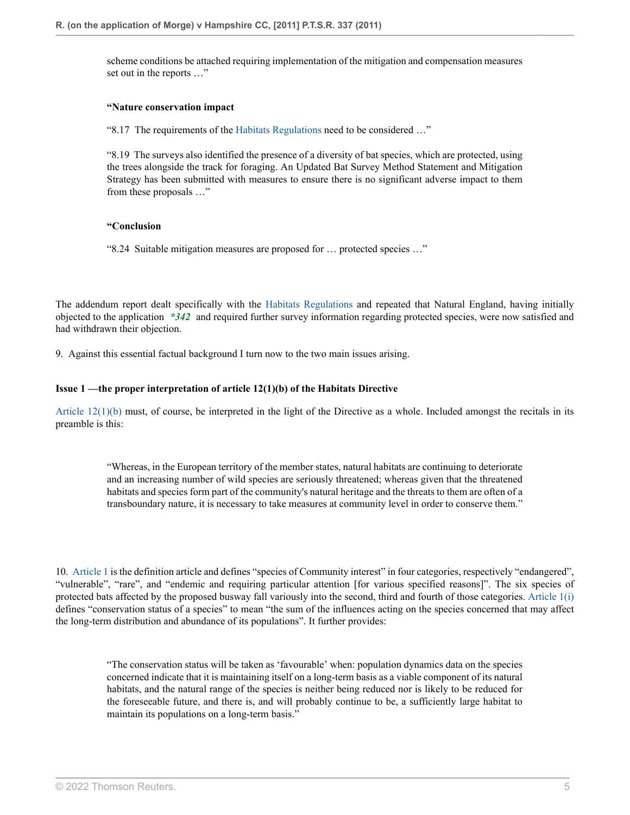scheme conditions be attached requiring implementation of the mitigation and compensation measures set out in the reports …"

#### **"Nature conservation impact**

"8.17 The requirements of the [Habitats Regulations](http://uk.westlaw.com/Document/I7787AEA0E42311DAA7CF8F68F6EE57AB/View/FullText.html?originationContext=document&transitionType=DocumentItem&vr=3.0&rs=PLUK1.0&contextData=(sc.Search)) need to be considered …"

"8.19 The surveys also identified the presence of a diversity of bat species, which are protected, using the trees alongside the track for foraging. An Updated Bat Survey Method Statement and Mitigation Strategy has been submitted with measures to ensure there is no significant adverse impact to them from these proposals …"

## **"Conclusion**

"8.24 Suitable mitigation measures are proposed for … protected species …"

The addendum report dealt specifically with the [Habitats Regulations](http://uk.westlaw.com/Document/I7787AEA0E42311DAA7CF8F68F6EE57AB/View/FullText.html?originationContext=document&transitionType=DocumentItem&vr=3.0&rs=PLUK1.0&contextData=(sc.Search)) and repeated that Natural England, having initially objected to the application *\*342* and required further survey information regarding protected species, were now satisfied and had withdrawn their objection.

9. Against this essential factual background I turn now to the two main issues arising.

## **Issue 1 —the proper interpretation of article 12(1)(b) of the Habitats Directive**

Article  $12(1)(b)$  must, of course, be interpreted in the light of the Directive as a whole. Included amongst the recitals in its preamble is this:

"Whereas, in the European territory of the member states, natural habitats are continuing to deteriorate and an increasing number of wild species are seriously threatened; whereas given that the threatened habitats and species form part of the community's natural heritage and the threats to them are often of a transboundary nature, it is necessary to take measures at community level in order to conserve them."

10. [Article 1](http://uk.westlaw.com/Document/I60318FA0E42311DAA7CF8F68F6EE57AB/View/FullText.html?originationContext=document&transitionType=DocumentItem&vr=3.0&rs=PLUK1.0&contextData=(sc.Search)) is the definition article and defines "species of Community interest" in four categories, respectively "endangered", "vulnerable", "rare", and "endemic and requiring particular attention [for various specified reasons]". The six species of protected bats affected by the proposed busway fall variously into the second, third and fourth of those categories. [Article 1\(i\)](http://uk.westlaw.com/Document/I2E7B1B84B63844289D4DF2BB1F56AEE0/View/FullText.html?originationContext=document&transitionType=DocumentItem&vr=3.0&rs=PLUK1.0&contextData=(sc.Search)) defines "conservation status of a species" to mean "the sum of the influences acting on the species concerned that may affect the long-term distribution and abundance of its populations". It further provides:

"The conservation status will be taken as 'favourable' when: population dynamics data on the species concerned indicate that it is maintaining itself on a long-term basis as a viable component of its natural habitats, and the natural range of the species is neither being reduced nor is likely to be reduced for the foreseeable future, and there is, and will probably continue to be, a sufficiently large habitat to maintain its populations on a long-term basis."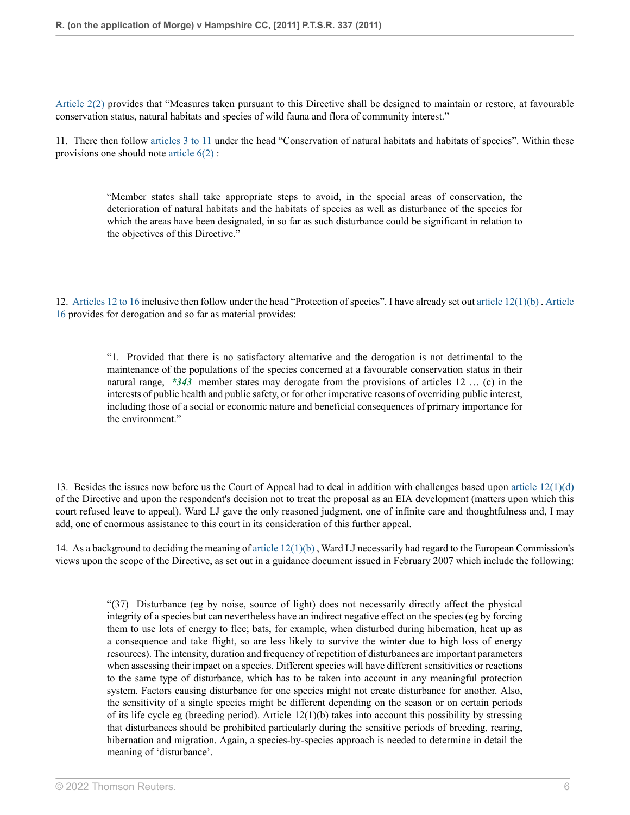[Article 2\(2\)](http://uk.westlaw.com/Document/I2E7B1B84B63844289D4DF2BB1F56AEE0/View/FullText.html?originationContext=document&transitionType=DocumentItem&vr=3.0&rs=PLUK1.0&contextData=(sc.Search)) provides that "Measures taken pursuant to this Directive shall be designed to maintain or restore, at favourable conservation status, natural habitats and species of wild fauna and flora of community interest."

11. There then follow [articles 3 to 11](http://uk.westlaw.com/Document/I2E7B1B84B63844289D4DF2BB1F56AEE0/View/FullText.html?originationContext=document&transitionType=DocumentItem&vr=3.0&rs=PLUK1.0&contextData=(sc.Search)) under the head "Conservation of natural habitats and habitats of species". Within these provisions one should note [article 6\(2\)](http://uk.westlaw.com/Document/I2E7B1B84B63844289D4DF2BB1F56AEE0/View/FullText.html?originationContext=document&transitionType=DocumentItem&vr=3.0&rs=PLUK1.0&contextData=(sc.Search)) :

"Member states shall take appropriate steps to avoid, in the special areas of conservation, the deterioration of natural habitats and the habitats of species as well as disturbance of the species for which the areas have been designated, in so far as such disturbance could be significant in relation to the objectives of this Directive."

12. [Articles 12 to 16](http://uk.westlaw.com/Document/I2E7B1B84B63844289D4DF2BB1F56AEE0/View/FullText.html?originationContext=document&transitionType=DocumentItem&vr=3.0&rs=PLUK1.0&contextData=(sc.Search)) inclusive then follow under the head "Protection of species". I have already set out [article 12\(1\)\(b\)](http://uk.westlaw.com/Document/I2E7B1B84B63844289D4DF2BB1F56AEE0/View/FullText.html?originationContext=document&transitionType=DocumentItem&vr=3.0&rs=PLUK1.0&contextData=(sc.Search)) . [Article](http://uk.westlaw.com/Document/I2E7B1B84B63844289D4DF2BB1F56AEE0/View/FullText.html?originationContext=document&transitionType=DocumentItem&vr=3.0&rs=PLUK1.0&contextData=(sc.Search)) [16](http://uk.westlaw.com/Document/I2E7B1B84B63844289D4DF2BB1F56AEE0/View/FullText.html?originationContext=document&transitionType=DocumentItem&vr=3.0&rs=PLUK1.0&contextData=(sc.Search)) provides for derogation and so far as material provides:

"1. Provided that there is no satisfactory alternative and the derogation is not detrimental to the maintenance of the populations of the species concerned at a favourable conservation status in their natural range, *\*343* member states may derogate from the provisions of articles 12 … (c) in the interests of public health and public safety, or for other imperative reasons of overriding public interest, including those of a social or economic nature and beneficial consequences of primary importance for the environment."

13. Besides the issues now before us the Court of Appeal had to deal in addition with challenges based upon article  $12(1)(d)$ of the Directive and upon the respondent's decision not to treat the proposal as an EIA development (matters upon which this court refused leave to appeal). Ward LJ gave the only reasoned judgment, one of infinite care and thoughtfulness and, I may add, one of enormous assistance to this court in its consideration of this further appeal.

14. As a background to deciding the meaning of article  $12(1)(b)$ , Ward LJ necessarily had regard to the European Commission's views upon the scope of the Directive, as set out in a guidance document issued in February 2007 which include the following:

> "(37) Disturbance (eg by noise, source of light) does not necessarily directly affect the physical integrity of a species but can nevertheless have an indirect negative effect on the species (eg by forcing them to use lots of energy to flee; bats, for example, when disturbed during hibernation, heat up as a consequence and take flight, so are less likely to survive the winter due to high loss of energy resources). The intensity, duration and frequency of repetition of disturbances are important parameters when assessing their impact on a species. Different species will have different sensitivities or reactions to the same type of disturbance, which has to be taken into account in any meaningful protection system. Factors causing disturbance for one species might not create disturbance for another. Also, the sensitivity of a single species might be different depending on the season or on certain periods of its life cycle eg (breeding period). Article 12(1)(b) takes into account this possibility by stressing that disturbances should be prohibited particularly during the sensitive periods of breeding, rearing, hibernation and migration. Again, a species-by-species approach is needed to determine in detail the meaning of 'disturbance'.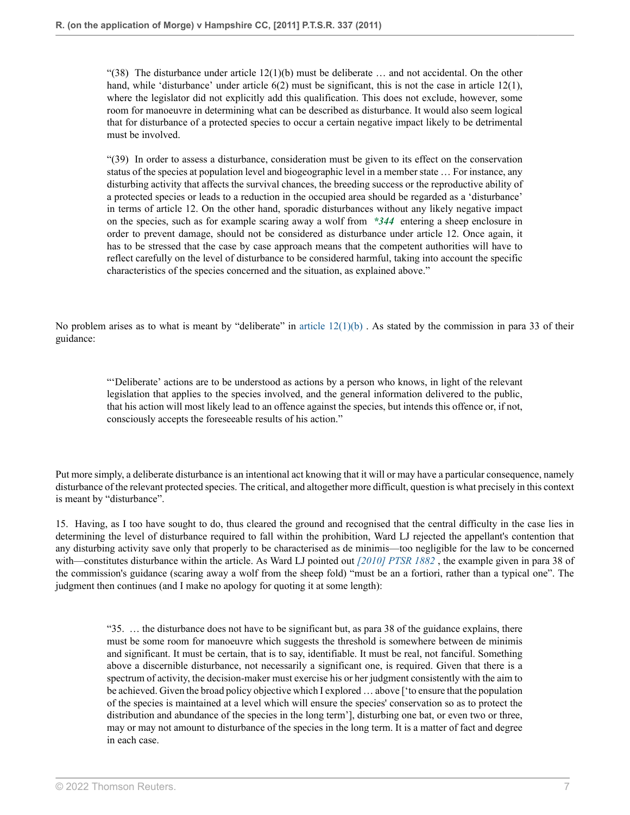"(38) The disturbance under article  $12(1)(b)$  must be deliberate ... and not accidental. On the other hand, while 'disturbance' under article 6(2) must be significant, this is not the case in article 12(1), where the legislator did not explicitly add this qualification. This does not exclude, however, some room for manoeuvre in determining what can be described as disturbance. It would also seem logical that for disturbance of a protected species to occur a certain negative impact likely to be detrimental must be involved.

"(39) In order to assess a disturbance, consideration must be given to its effect on the conservation status of the species at population level and biogeographic level in a member state … For instance, any disturbing activity that affects the survival chances, the breeding success or the reproductive ability of a protected species or leads to a reduction in the occupied area should be regarded as a 'disturbance' in terms of article 12. On the other hand, sporadic disturbances without any likely negative impact on the species, such as for example scaring away a wolf from *\*344* entering a sheep enclosure in order to prevent damage, should not be considered as disturbance under article 12. Once again, it has to be stressed that the case by case approach means that the competent authorities will have to reflect carefully on the level of disturbance to be considered harmful, taking into account the specific characteristics of the species concerned and the situation, as explained above."

No problem arises as to what is meant by "deliberate" in article  $12(1)(b)$ . As stated by the commission in para 33 of their guidance:

> "'Deliberate' actions are to be understood as actions by a person who knows, in light of the relevant legislation that applies to the species involved, and the general information delivered to the public, that his action will most likely lead to an offence against the species, but intends this offence or, if not, consciously accepts the foreseeable results of his action."

Put more simply, a deliberate disturbance is an intentional act knowing that it will or may have a particular consequence, namely disturbance of the relevant protected species. The critical, and altogether more difficult, question is what precisely in this context is meant by "disturbance".

15. Having, as I too have sought to do, thus cleared the ground and recognised that the central difficulty in the case lies in determining the level of disturbance required to fall within the prohibition, Ward LJ rejected the appellant's contention that any disturbing activity save only that properly to be characterised as de minimis—too negligible for the law to be concerned with—constitutes disturbance within the article. As Ward LJ pointed out *[\[2010\] PTSR 1882](http://uk.westlaw.com/Document/I93EB1A1074E711DF8980B5C47EE32062/View/FullText.html?originationContext=document&transitionType=DocumentItem&vr=3.0&rs=PLUK1.0&contextData=(sc.Search))* , the example given in para 38 of the commission's guidance (scaring away a wolf from the sheep fold) "must be an a fortiori, rather than a typical one". The judgment then continues (and I make no apology for quoting it at some length):

> "35. … the disturbance does not have to be significant but, as para 38 of the guidance explains, there must be some room for manoeuvre which suggests the threshold is somewhere between de minimis and significant. It must be certain, that is to say, identifiable. It must be real, not fanciful. Something above a discernible disturbance, not necessarily a significant one, is required. Given that there is a spectrum of activity, the decision-maker must exercise his or her judgment consistently with the aim to be achieved. Given the broad policy objective which I explored … above ['to ensure that the population of the species is maintained at a level which will ensure the species' conservation so as to protect the distribution and abundance of the species in the long term'], disturbing one bat, or even two or three, may or may not amount to disturbance of the species in the long term. It is a matter of fact and degree in each case.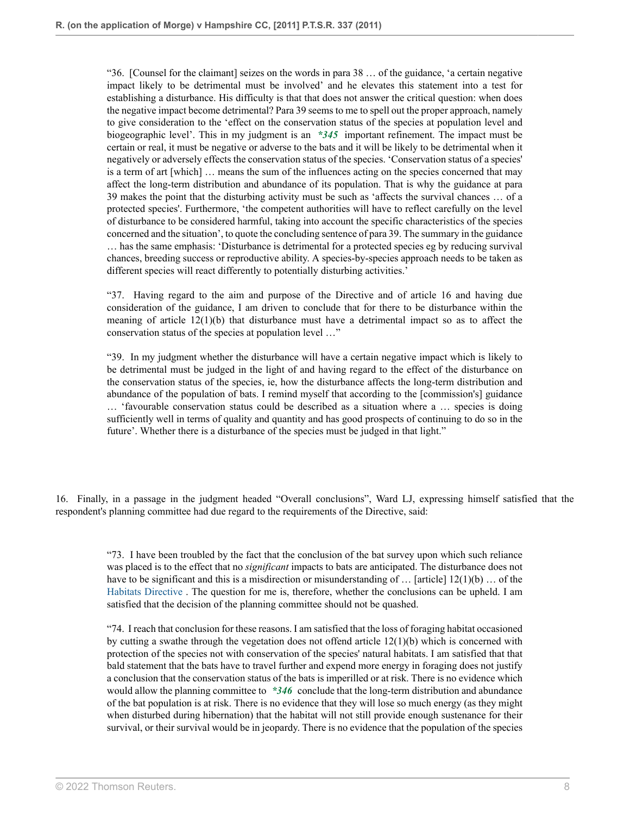"36. [Counsel for the claimant] seizes on the words in para 38 … of the guidance, 'a certain negative impact likely to be detrimental must be involved' and he elevates this statement into a test for establishing a disturbance. His difficulty is that that does not answer the critical question: when does the negative impact become detrimental? Para 39 seems to me to spell out the proper approach, namely to give consideration to the 'effect on the conservation status of the species at population level and biogeographic level'. This in my judgment is an *\*345* important refinement. The impact must be certain or real, it must be negative or adverse to the bats and it will be likely to be detrimental when it negatively or adversely effects the conservation status of the species. 'Conservation status of a species' is a term of art [which] … means the sum of the influences acting on the species concerned that may affect the long-term distribution and abundance of its population. That is why the guidance at para 39 makes the point that the disturbing activity must be such as 'affects the survival chances … of a protected species'. Furthermore, 'the competent authorities will have to reflect carefully on the level of disturbance to be considered harmful, taking into account the specific characteristics of the species concerned and the situation', to quote the concluding sentence of para 39. The summary in the guidance … has the same emphasis: 'Disturbance is detrimental for a protected species eg by reducing survival chances, breeding success or reproductive ability. A species-by-species approach needs to be taken as different species will react differently to potentially disturbing activities.'

"37. Having regard to the aim and purpose of the Directive and of article 16 and having due consideration of the guidance, I am driven to conclude that for there to be disturbance within the meaning of article 12(1)(b) that disturbance must have a detrimental impact so as to affect the conservation status of the species at population level …"

"39. In my judgment whether the disturbance will have a certain negative impact which is likely to be detrimental must be judged in the light of and having regard to the effect of the disturbance on the conservation status of the species, ie, how the disturbance affects the long-term distribution and abundance of the population of bats. I remind myself that according to the [commission's] guidance … 'favourable conservation status could be described as a situation where a … species is doing sufficiently well in terms of quality and quantity and has good prospects of continuing to do so in the future'. Whether there is a disturbance of the species must be judged in that light."

16. Finally, in a passage in the judgment headed "Overall conclusions", Ward LJ, expressing himself satisfied that the respondent's planning committee had due regard to the requirements of the Directive, said:

> "73. I have been troubled by the fact that the conclusion of the bat survey upon which such reliance was placed is to the effect that no *significant* impacts to bats are anticipated. The disturbance does not have to be significant and this is a misdirection or misunderstanding of  $\ldots$  [article] 12(1)(b)  $\ldots$  of the [Habitats Directive](http://uk.westlaw.com/Document/I2E7B1B84B63844289D4DF2BB1F56AEE0/View/FullText.html?originationContext=document&transitionType=DocumentItem&vr=3.0&rs=PLUK1.0&contextData=(sc.Search)) . The question for me is, therefore, whether the conclusions can be upheld. I am satisfied that the decision of the planning committee should not be quashed.

> "74. I reach that conclusion for these reasons. I am satisfied that the loss of foraging habitat occasioned by cutting a swathe through the vegetation does not offend article 12(1)(b) which is concerned with protection of the species not with conservation of the species' natural habitats. I am satisfied that that bald statement that the bats have to travel further and expend more energy in foraging does not justify a conclusion that the conservation status of the bats is imperilled or at risk. There is no evidence which would allow the planning committee to *\*346* conclude that the long-term distribution and abundance of the bat population is at risk. There is no evidence that they will lose so much energy (as they might when disturbed during hibernation) that the habitat will not still provide enough sustenance for their survival, or their survival would be in jeopardy. There is no evidence that the population of the species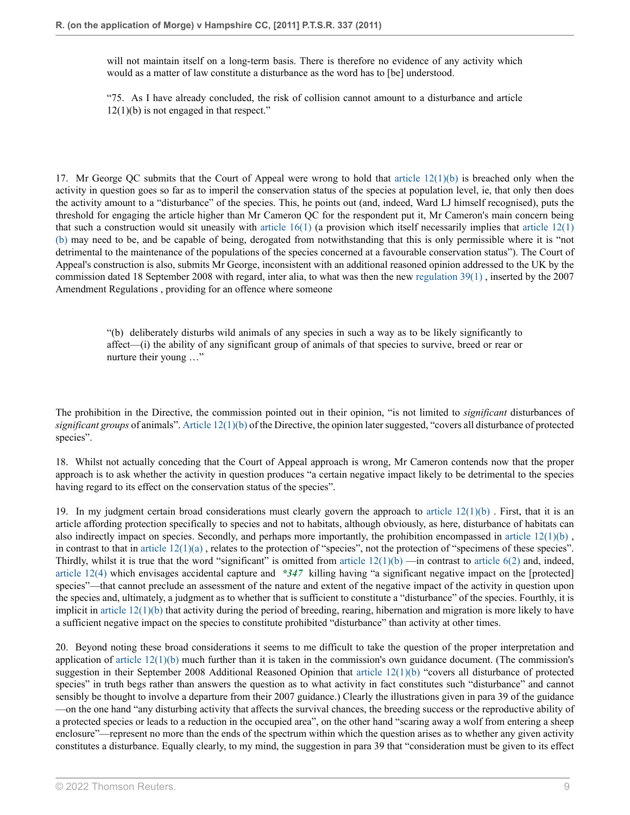will not maintain itself on a long-term basis. There is therefore no evidence of any activity which would as a matter of law constitute a disturbance as the word has to [be] understood.

"75. As I have already concluded, the risk of collision cannot amount to a disturbance and article 12(1)(b) is not engaged in that respect."

17. Mr George QC submits that the Court of Appeal were wrong to hold that [article 12\(1\)\(b\)](http://uk.westlaw.com/Document/I2E7B1B84B63844289D4DF2BB1F56AEE0/View/FullText.html?originationContext=document&transitionType=DocumentItem&vr=3.0&rs=PLUK1.0&contextData=(sc.Search)) is breached only when the activity in question goes so far as to imperil the conservation status of the species at population level, ie, that only then does the activity amount to a "disturbance" of the species. This, he points out (and, indeed, Ward LJ himself recognised), puts the threshold for engaging the article higher than Mr Cameron QC for the respondent put it, Mr Cameron's main concern being that such a construction would sit uneasily with article  $16(1)$  (a provision which itself necessarily implies that article  $12(1)$ ) [\(b\)](http://uk.westlaw.com/Document/I2E7B1B84B63844289D4DF2BB1F56AEE0/View/FullText.html?originationContext=document&transitionType=DocumentItem&vr=3.0&rs=PLUK1.0&contextData=(sc.Search)) may need to be, and be capable of being, derogated from notwithstanding that this is only permissible where it is "not detrimental to the maintenance of the populations of the species concerned at a favourable conservation status"). The Court of Appeal's construction is also, submits Mr George, inconsistent with an additional reasoned opinion addressed to the UK by the commission dated 18 September 2008 with regard, inter alia, to what was then the new [regulation 39\(1\)](http://uk.westlaw.com/Document/I12D82941E44A11DA8D70A0E70A78ED65/View/FullText.html?originationContext=document&transitionType=DocumentItem&vr=3.0&rs=PLUK1.0&contextData=(sc.Search)) , inserted by the 2007 Amendment Regulations , providing for an offence where someone

"(b) deliberately disturbs wild animals of any species in such a way as to be likely significantly to affect—(i) the ability of any significant group of animals of that species to survive, breed or rear or nurture their young …"

The prohibition in the Directive, the commission pointed out in their opinion, "is not limited to *significant* disturbances of *significant groups* of animals". [Article 12\(1\)\(b\)](http://uk.westlaw.com/Document/I2E7B1B84B63844289D4DF2BB1F56AEE0/View/FullText.html?originationContext=document&transitionType=DocumentItem&vr=3.0&rs=PLUK1.0&contextData=(sc.Search)) of the Directive, the opinion later suggested, "covers all disturbance of protected species".

18. Whilst not actually conceding that the Court of Appeal approach is wrong, Mr Cameron contends now that the proper approach is to ask whether the activity in question produces "a certain negative impact likely to be detrimental to the species having regard to its effect on the conservation status of the species".

19. In my judgment certain broad considerations must clearly govern the approach to article  $12(1)(b)$ . First, that it is an article affording protection specifically to species and not to habitats, although obviously, as here, disturbance of habitats can also indirectly impact on species. Secondly, and perhaps more importantly, the prohibition encompassed in article  $12(1)(b)$ , in contrast to that in [article 12\(1\)\(a\)](http://uk.westlaw.com/Document/I2E7B1B84B63844289D4DF2BB1F56AEE0/View/FullText.html?originationContext=document&transitionType=DocumentItem&vr=3.0&rs=PLUK1.0&contextData=(sc.Search)) , relates to the protection of "species", not the protection of "specimens of these species". Thirdly, whilst it is true that the word "significant" is omitted from article  $12(1)(b)$  —in contrast to [article 6\(2\)](http://uk.westlaw.com/Document/I2E7B1B84B63844289D4DF2BB1F56AEE0/View/FullText.html?originationContext=document&transitionType=DocumentItem&vr=3.0&rs=PLUK1.0&contextData=(sc.Search)) and, indeed, [article 12\(4\)](http://uk.westlaw.com/Document/I2E7B1B84B63844289D4DF2BB1F56AEE0/View/FullText.html?originationContext=document&transitionType=DocumentItem&vr=3.0&rs=PLUK1.0&contextData=(sc.Search)) which envisages accidental capture and *\*347* killing having "a significant negative impact on the [protected] species"—that cannot preclude an assessment of the nature and extent of the negative impact of the activity in question upon the species and, ultimately, a judgment as to whether that is sufficient to constitute a "disturbance" of the species. Fourthly, it is implicit in [article 12\(1\)\(b\)](http://uk.westlaw.com/Document/I2E7B1B84B63844289D4DF2BB1F56AEE0/View/FullText.html?originationContext=document&transitionType=DocumentItem&vr=3.0&rs=PLUK1.0&contextData=(sc.Search)) that activity during the period of breeding, rearing, hibernation and migration is more likely to have a sufficient negative impact on the species to constitute prohibited "disturbance" than activity at other times.

20. Beyond noting these broad considerations it seems to me difficult to take the question of the proper interpretation and application of article  $12(1)(b)$  much further than it is taken in the commission's own guidance document. (The commission's suggestion in their September 2008 Additional Reasoned Opinion that [article 12\(1\)\(b\)](http://uk.westlaw.com/Document/I2E7B1B84B63844289D4DF2BB1F56AEE0/View/FullText.html?originationContext=document&transitionType=DocumentItem&vr=3.0&rs=PLUK1.0&contextData=(sc.Search)) "covers all disturbance of protected species" in truth begs rather than answers the question as to what activity in fact constitutes such "disturbance" and cannot sensibly be thought to involve a departure from their 2007 guidance.) Clearly the illustrations given in para 39 of the guidance —on the one hand "any disturbing activity that affects the survival chances, the breeding success or the reproductive ability of a protected species or leads to a reduction in the occupied area", on the other hand "scaring away a wolf from entering a sheep enclosure"—represent no more than the ends of the spectrum within which the question arises as to whether any given activity constitutes a disturbance. Equally clearly, to my mind, the suggestion in para 39 that "consideration must be given to its effect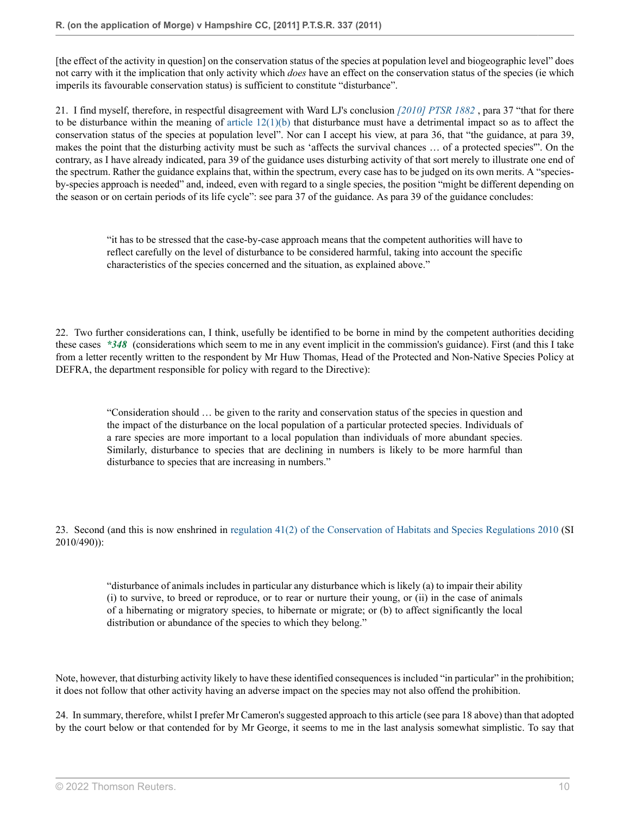[the effect of the activity in question] on the conservation status of the species at population level and biogeographic level" does not carry with it the implication that only activity which *does* have an effect on the conservation status of the species (ie which imperils its favourable conservation status) is sufficient to constitute "disturbance".

21. I find myself, therefore, in respectful disagreement with Ward LJ's conclusion *[\[2010\] PTSR 1882](http://uk.westlaw.com/Document/I93EB1A1074E711DF8980B5C47EE32062/View/FullText.html?originationContext=document&transitionType=DocumentItem&vr=3.0&rs=PLUK1.0&contextData=(sc.Search))* , para 37 "that for there to be disturbance within the meaning of article  $12(1)(b)$  that disturbance must have a detrimental impact so as to affect the conservation status of the species at population level". Nor can I accept his view, at para 36, that "the guidance, at para 39, makes the point that the disturbing activity must be such as 'affects the survival chances … of a protected species'". On the contrary, as I have already indicated, para 39 of the guidance uses disturbing activity of that sort merely to illustrate one end of the spectrum. Rather the guidance explains that, within the spectrum, every case has to be judged on its own merits. A "speciesby-species approach is needed" and, indeed, even with regard to a single species, the position "might be different depending on the season or on certain periods of its life cycle": see para 37 of the guidance. As para 39 of the guidance concludes:

"it has to be stressed that the case-by-case approach means that the competent authorities will have to reflect carefully on the level of disturbance to be considered harmful, taking into account the specific characteristics of the species concerned and the situation, as explained above."

22. Two further considerations can, I think, usefully be identified to be borne in mind by the competent authorities deciding these cases *\*348* (considerations which seem to me in any event implicit in the commission's guidance). First (and this I take from a letter recently written to the respondent by Mr Huw Thomas, Head of the Protected and Non-Native Species Policy at DEFRA, the department responsible for policy with regard to the Directive):

"Consideration should … be given to the rarity and conservation status of the species in question and the impact of the disturbance on the local population of a particular protected species. Individuals of a rare species are more important to a local population than individuals of more abundant species. Similarly, disturbance to species that are declining in numbers is likely to be more harmful than disturbance to species that are increasing in numbers."

23. Second (and this is now enshrined in [regulation 41\(2\) of the Conservation of Habitats and Species Regulations 2010](http://uk.westlaw.com/Document/IAA7F3E802D9F11DFA748AC566F7AB34B/View/FullText.html?originationContext=document&transitionType=DocumentItem&vr=3.0&rs=PLUK1.0&contextData=(sc.Search)) (SI 2010/490)):

> "disturbance of animals includes in particular any disturbance which is likely (a) to impair their ability (i) to survive, to breed or reproduce, or to rear or nurture their young, or (ii) in the case of animals of a hibernating or migratory species, to hibernate or migrate; or (b) to affect significantly the local distribution or abundance of the species to which they belong."

Note, however, that disturbing activity likely to have these identified consequences is included "in particular" in the prohibition; it does not follow that other activity having an adverse impact on the species may not also offend the prohibition.

24. In summary, therefore, whilst I prefer Mr Cameron's suggested approach to this article (see para 18 above) than that adopted by the court below or that contended for by Mr George, it seems to me in the last analysis somewhat simplistic. To say that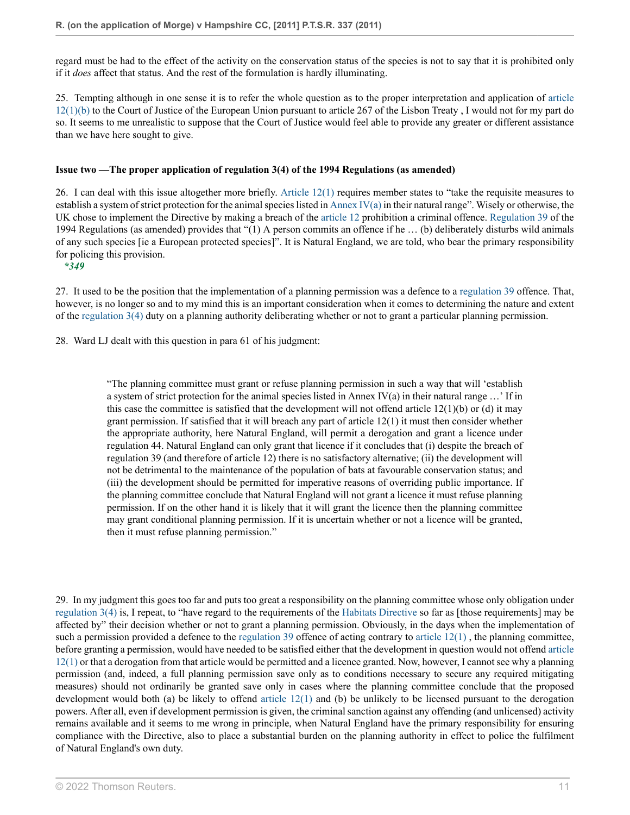regard must be had to the effect of the activity on the conservation status of the species is not to say that it is prohibited only if it *does* affect that status. And the rest of the formulation is hardly illuminating.

25. Tempting although in one sense it is to refer the whole question as to the proper interpretation and application of [article](http://uk.westlaw.com/Document/I2E7B1B84B63844289D4DF2BB1F56AEE0/View/FullText.html?originationContext=document&transitionType=DocumentItem&vr=3.0&rs=PLUK1.0&contextData=(sc.Search))  $12(1)(b)$  to the Court of Justice of the European Union pursuant to article 267 of the Lisbon Treaty, I would not for my part do so. It seems to me unrealistic to suppose that the Court of Justice would feel able to provide any greater or different assistance than we have here sought to give.

#### **Issue two —The proper application of regulation 3(4) of the 1994 Regulations (as amended)**

26. I can deal with this issue altogether more briefly. [Article 12\(1\)](http://uk.westlaw.com/Document/I2E7B1B84B63844289D4DF2BB1F56AEE0/View/FullText.html?originationContext=document&transitionType=DocumentItem&vr=3.0&rs=PLUK1.0&contextData=(sc.Search)) requires member states to "take the requisite measures to establish a system of strict protection for the animal species listed in [Annex IV\(a\)](http://uk.westlaw.com/Document/I2E7B1B84B63844289D4DF2BB1F56AEE0/View/FullText.html?originationContext=document&transitionType=DocumentItem&vr=3.0&rs=PLUK1.0&contextData=(sc.Search)) in their natural range". Wisely or otherwise, the UK chose to implement the Directive by making a breach of the [article 12](http://uk.westlaw.com/Document/I2E7B1B84B63844289D4DF2BB1F56AEE0/View/FullText.html?originationContext=document&transitionType=DocumentItem&vr=3.0&rs=PLUK1.0&contextData=(sc.Search)) prohibition a criminal offence. [Regulation 39](http://uk.westlaw.com/Document/I12D82941E44A11DA8D70A0E70A78ED65/View/FullText.html?originationContext=document&transitionType=DocumentItem&vr=3.0&rs=PLUK1.0&contextData=(sc.Search)) of the 1994 Regulations (as amended) provides that "(1) A person commits an offence if he … (b) deliberately disturbs wild animals of any such species [ie a European protected species]". It is Natural England, we are told, who bear the primary responsibility for policing this provision.

*\*349*

27. It used to be the position that the implementation of a planning permission was a defence to a [regulation 39](http://uk.westlaw.com/Document/I12D82941E44A11DA8D70A0E70A78ED65/View/FullText.html?originationContext=document&transitionType=DocumentItem&vr=3.0&rs=PLUK1.0&contextData=(sc.Search)) offence. That, however, is no longer so and to my mind this is an important consideration when it comes to determining the nature and extent of the [regulation 3\(4\)](http://uk.westlaw.com/Document/I0E537660E44811DA8D70A0E70A78ED65/View/FullText.html?originationContext=document&transitionType=DocumentItem&vr=3.0&rs=PLUK1.0&contextData=(sc.Search)) duty on a planning authority deliberating whether or not to grant a particular planning permission.

28. Ward LJ dealt with this question in para 61 of his judgment:

"The planning committee must grant or refuse planning permission in such a way that will 'establish a system of strict protection for the animal species listed in Annex IV(a) in their natural range  $\dots$ ' If in this case the committee is satisfied that the development will not offend article  $12(1)(b)$  or (d) it may grant permission. If satisfied that it will breach any part of article  $12(1)$  it must then consider whether the appropriate authority, here Natural England, will permit a derogation and grant a licence under regulation 44. Natural England can only grant that licence if it concludes that (i) despite the breach of regulation 39 (and therefore of article 12) there is no satisfactory alternative; (ii) the development will not be detrimental to the maintenance of the population of bats at favourable conservation status; and (iii) the development should be permitted for imperative reasons of overriding public importance. If the planning committee conclude that Natural England will not grant a licence it must refuse planning permission. If on the other hand it is likely that it will grant the licence then the planning committee may grant conditional planning permission. If it is uncertain whether or not a licence will be granted, then it must refuse planning permission."

29. In my judgment this goes too far and puts too great a responsibility on the planning committee whose only obligation under [regulation 3\(4\)](http://uk.westlaw.com/Document/I0E537660E44811DA8D70A0E70A78ED65/View/FullText.html?originationContext=document&transitionType=DocumentItem&vr=3.0&rs=PLUK1.0&contextData=(sc.Search)) is, I repeat, to "have regard to the requirements of the [Habitats Directive](http://uk.westlaw.com/Document/I2E7B1B84B63844289D4DF2BB1F56AEE0/View/FullText.html?originationContext=document&transitionType=DocumentItem&vr=3.0&rs=PLUK1.0&contextData=(sc.Search)) so far as [those requirements] may be affected by" their decision whether or not to grant a planning permission. Obviously, in the days when the implementation of such a permission provided a defence to the [regulation 39](http://uk.westlaw.com/Document/I12D82941E44A11DA8D70A0E70A78ED65/View/FullText.html?originationContext=document&transitionType=DocumentItem&vr=3.0&rs=PLUK1.0&contextData=(sc.Search)) offence of acting contrary to article  $12(1)$ , the planning committee, before granting a permission, would have needed to be satisfied either that the development in question would not offend [article](http://uk.westlaw.com/Document/I2E7B1B84B63844289D4DF2BB1F56AEE0/View/FullText.html?originationContext=document&transitionType=DocumentItem&vr=3.0&rs=PLUK1.0&contextData=(sc.Search)) [12\(1\)](http://uk.westlaw.com/Document/I2E7B1B84B63844289D4DF2BB1F56AEE0/View/FullText.html?originationContext=document&transitionType=DocumentItem&vr=3.0&rs=PLUK1.0&contextData=(sc.Search)) or that a derogation from that article would be permitted and a licence granted. Now, however, I cannot see why a planning permission (and, indeed, a full planning permission save only as to conditions necessary to secure any required mitigating measures) should not ordinarily be granted save only in cases where the planning committee conclude that the proposed development would both (a) be likely to offend [article 12\(1\)](http://uk.westlaw.com/Document/I2E7B1B84B63844289D4DF2BB1F56AEE0/View/FullText.html?originationContext=document&transitionType=DocumentItem&vr=3.0&rs=PLUK1.0&contextData=(sc.Search)) and (b) be unlikely to be licensed pursuant to the derogation powers. After all, even if development permission is given, the criminal sanction against any offending (and unlicensed) activity remains available and it seems to me wrong in principle, when Natural England have the primary responsibility for ensuring compliance with the Directive, also to place a substantial burden on the planning authority in effect to police the fulfilment of Natural England's own duty.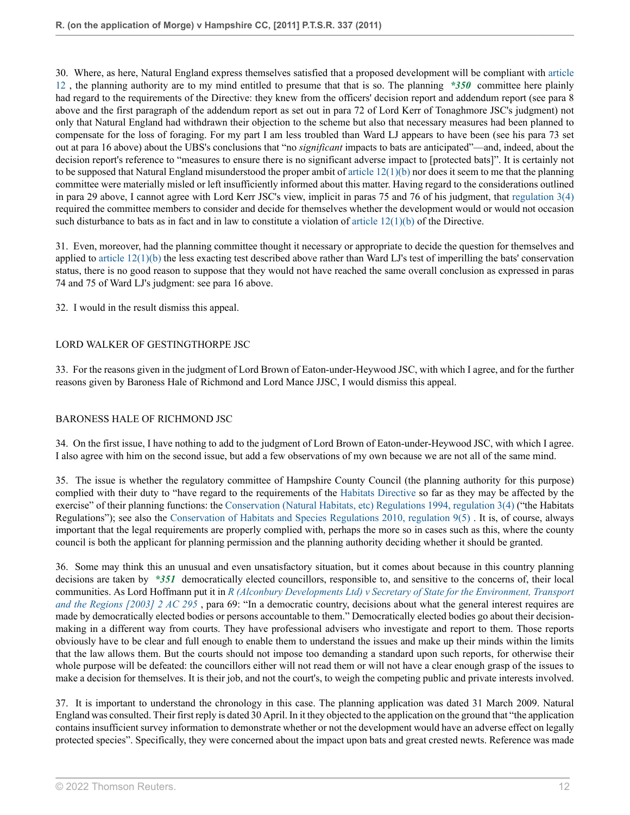30. Where, as here, Natural England express themselves satisfied that a proposed development will be compliant with [article](http://uk.westlaw.com/Document/I2E7B1B84B63844289D4DF2BB1F56AEE0/View/FullText.html?originationContext=document&transitionType=DocumentItem&vr=3.0&rs=PLUK1.0&contextData=(sc.Search)) [12](http://uk.westlaw.com/Document/I2E7B1B84B63844289D4DF2BB1F56AEE0/View/FullText.html?originationContext=document&transitionType=DocumentItem&vr=3.0&rs=PLUK1.0&contextData=(sc.Search)) , the planning authority are to my mind entitled to presume that that is so. The planning *\*350* committee here plainly had regard to the requirements of the Directive: they knew from the officers' decision report and addendum report (see para 8 above and the first paragraph of the addendum report as set out in para 72 of Lord Kerr of Tonaghmore JSC's judgment) not only that Natural England had withdrawn their objection to the scheme but also that necessary measures had been planned to compensate for the loss of foraging. For my part I am less troubled than Ward LJ appears to have been (see his para 73 set out at para 16 above) about the UBS's conclusions that "no *significant* impacts to bats are anticipated"—and, indeed, about the decision report's reference to "measures to ensure there is no significant adverse impact to [protected bats]". It is certainly not to be supposed that Natural England misunderstood the proper ambit of article  $12(1)(b)$  nor does it seem to me that the planning committee were materially misled or left insufficiently informed about this matter. Having regard to the considerations outlined in para 29 above, I cannot agree with Lord Kerr JSC's view, implicit in paras 75 and 76 of his judgment, that [regulation 3\(4\)](http://uk.westlaw.com/Document/I0E537660E44811DA8D70A0E70A78ED65/View/FullText.html?originationContext=document&transitionType=DocumentItem&vr=3.0&rs=PLUK1.0&contextData=(sc.Search)) required the committee members to consider and decide for themselves whether the development would or would not occasion such disturbance to bats as in fact and in law to constitute a violation of article  $12(1)(b)$  of the Directive.

31. Even, moreover, had the planning committee thought it necessary or appropriate to decide the question for themselves and applied to article  $12(1)(b)$  the less exacting test described above rather than Ward LJ's test of imperilling the bats' conservation status, there is no good reason to suppose that they would not have reached the same overall conclusion as expressed in paras 74 and 75 of Ward LJ's judgment: see para 16 above.

32. I would in the result dismiss this appeal.

## LORD WALKER OF GESTINGTHORPE JSC

33. For the reasons given in the judgment of Lord Brown of Eaton-under-Heywood JSC, with which I agree, and for the further reasons given by Baroness Hale of Richmond and Lord Mance JJSC, I would dismiss this appeal.

# BARONESS HALE OF RICHMOND JSC

34. On the first issue, I have nothing to add to the judgment of Lord Brown of Eaton-under-Heywood JSC, with which I agree. I also agree with him on the second issue, but add a few observations of my own because we are not all of the same mind.

35. The issue is whether the regulatory committee of Hampshire County Council (the planning authority for this purpose) complied with their duty to "have regard to the requirements of the [Habitats Directive](http://uk.westlaw.com/Document/I2E7B1B84B63844289D4DF2BB1F56AEE0/View/FullText.html?originationContext=document&transitionType=DocumentItem&vr=3.0&rs=PLUK1.0&contextData=(sc.Search)) so far as they may be affected by the exercise" of their planning functions: the [Conservation \(Natural Habitats, etc\) Regulations 1994, regulation 3\(4\)](http://uk.westlaw.com/Document/IAA7309822D9F11DFA748AC566F7AB34B/View/FullText.html?originationContext=document&transitionType=DocumentItem&vr=3.0&rs=PLUK1.0&contextData=(sc.Search)) ("the Habitats Regulations"); see also the [Conservation of Habitats and Species Regulations 2010, regulation 9\(5\)](http://uk.westlaw.com/Document/IAA7887C02D9F11DFA748AC566F7AB34B/View/FullText.html?originationContext=document&transitionType=DocumentItem&vr=3.0&rs=PLUK1.0&contextData=(sc.Search)) . It is, of course, always important that the legal requirements are properly complied with, perhaps the more so in cases such as this, where the county council is both the applicant for planning permission and the planning authority deciding whether it should be granted.

36. Some may think this an unusual and even unsatisfactory situation, but it comes about because in this country planning decisions are taken by *\*351* democratically elected councillors, responsible to, and sensitive to the concerns of, their local communities. As Lord Hoffmann put it in *[R \(Alconbury Developments Ltd\) v Secretary of State for the Environment, Transport](http://uk.westlaw.com/Document/I79A6F2E0E42811DA8FC2A0F0355337E9/View/FullText.html?originationContext=document&transitionType=DocumentItem&vr=3.0&rs=PLUK1.0&contextData=(sc.Search)) [and the Regions \[2003\] 2 AC 295](http://uk.westlaw.com/Document/I79A6F2E0E42811DA8FC2A0F0355337E9/View/FullText.html?originationContext=document&transitionType=DocumentItem&vr=3.0&rs=PLUK1.0&contextData=(sc.Search))* , para 69: "In a democratic country, decisions about what the general interest requires are made by democratically elected bodies or persons accountable to them." Democratically elected bodies go about their decisionmaking in a different way from courts. They have professional advisers who investigate and report to them. Those reports obviously have to be clear and full enough to enable them to understand the issues and make up their minds within the limits that the law allows them. But the courts should not impose too demanding a standard upon such reports, for otherwise their whole purpose will be defeated: the councillors either will not read them or will not have a clear enough grasp of the issues to make a decision for themselves. It is their job, and not the court's, to weigh the competing public and private interests involved.

37. It is important to understand the chronology in this case. The planning application was dated 31 March 2009. Natural England was consulted. Their first reply is dated 30 April. In it they objected to the application on the ground that "the application contains insufficient survey information to demonstrate whether or not the development would have an adverse effect on legally protected species". Specifically, they were concerned about the impact upon bats and great crested newts. Reference was made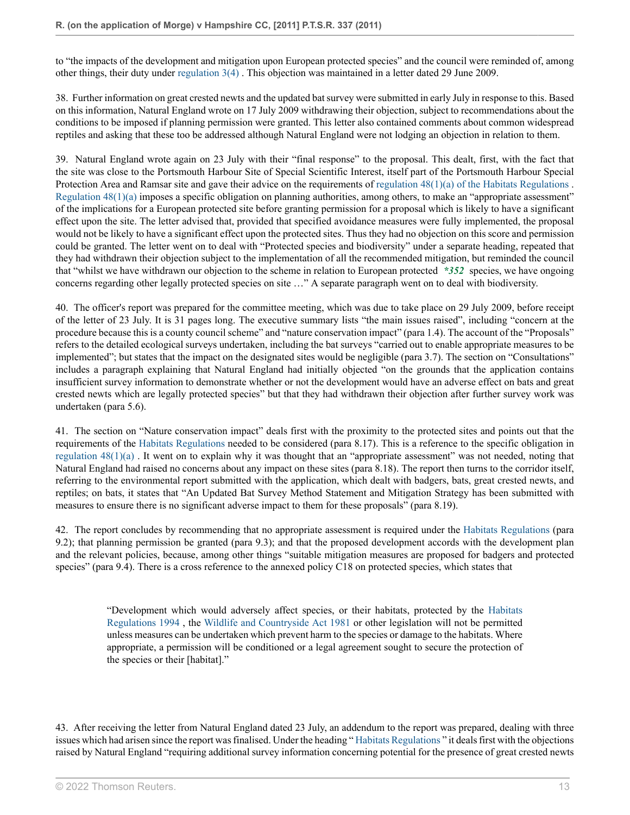to "the impacts of the development and mitigation upon European protected species" and the council were reminded of, among other things, their duty under [regulation 3\(4\)](http://uk.westlaw.com/Document/I0E537660E44811DA8D70A0E70A78ED65/View/FullText.html?originationContext=document&transitionType=DocumentItem&vr=3.0&rs=PLUK1.0&contextData=(sc.Search)) . This objection was maintained in a letter dated 29 June 2009.

38. Further information on great crested newts and the updated bat survey were submitted in early July in response to this. Based on this information, Natural England wrote on 17 July 2009 withdrawing their objection, subject to recommendations about the conditions to be imposed if planning permission were granted. This letter also contained comments about common widespread reptiles and asking that these too be addressed although Natural England were not lodging an objection in relation to them.

39. Natural England wrote again on 23 July with their "final response" to the proposal. This dealt, first, with the fact that the site was close to the Portsmouth Harbour Site of Special Scientific Interest, itself part of the Portsmouth Harbour Special Protection Area and Ramsar site and gave their advice on the requirements of [regulation 48\(1\)\(a\) of the Habitats Regulations](http://uk.westlaw.com/Document/IAA83AB512D9F11DFA748AC566F7AB34B/View/FullText.html?originationContext=document&transitionType=DocumentItem&vr=3.0&rs=PLUK1.0&contextData=(sc.Search)) . [Regulation 48\(1\)\(a\)](http://uk.westlaw.com/Document/IAA83AB512D9F11DFA748AC566F7AB34B/View/FullText.html?originationContext=document&transitionType=DocumentItem&vr=3.0&rs=PLUK1.0&contextData=(sc.Search)) imposes a specific obligation on planning authorities, among others, to make an "appropriate assessment" of the implications for a European protected site before granting permission for a proposal which is likely to have a significant effect upon the site. The letter advised that, provided that specified avoidance measures were fully implemented, the proposal would not be likely to have a significant effect upon the protected sites. Thus they had no objection on this score and permission could be granted. The letter went on to deal with "Protected species and biodiversity" under a separate heading, repeated that they had withdrawn their objection subject to the implementation of all the recommended mitigation, but reminded the council that "whilst we have withdrawn our objection to the scheme in relation to European protected *\*352* species, we have ongoing concerns regarding other legally protected species on site …" A separate paragraph went on to deal with biodiversity.

40. The officer's report was prepared for the committee meeting, which was due to take place on 29 July 2009, before receipt of the letter of 23 July. It is 31 pages long. The executive summary lists "the main issues raised", including "concern at the procedure because this is a county council scheme" and "nature conservation impact" (para 1.4). The account of the "Proposals" refers to the detailed ecological surveys undertaken, including the bat surveys "carried out to enable appropriate measures to be implemented"; but states that the impact on the designated sites would be negligible (para 3.7). The section on "Consultations" includes a paragraph explaining that Natural England had initially objected "on the grounds that the application contains insufficient survey information to demonstrate whether or not the development would have an adverse effect on bats and great crested newts which are legally protected species" but that they had withdrawn their objection after further survey work was undertaken (para 5.6).

41. The section on "Nature conservation impact" deals first with the proximity to the protected sites and points out that the requirements of the [Habitats Regulations](http://uk.westlaw.com/Document/I7787AEA0E42311DAA7CF8F68F6EE57AB/View/FullText.html?originationContext=document&transitionType=DocumentItem&vr=3.0&rs=PLUK1.0&contextData=(sc.Search)) needed to be considered (para 8.17). This is a reference to the specific obligation in regulation  $48(1)(a)$ . It went on to explain why it was thought that an "appropriate assessment" was not needed, noting that Natural England had raised no concerns about any impact on these sites (para 8.18). The report then turns to the corridor itself, referring to the environmental report submitted with the application, which dealt with badgers, bats, great crested newts, and reptiles; on bats, it states that "An Updated Bat Survey Method Statement and Mitigation Strategy has been submitted with measures to ensure there is no significant adverse impact to them for these proposals" (para 8.19).

42. The report concludes by recommending that no appropriate assessment is required under the [Habitats Regulations](http://uk.westlaw.com/Document/I7787AEA0E42311DAA7CF8F68F6EE57AB/View/FullText.html?originationContext=document&transitionType=DocumentItem&vr=3.0&rs=PLUK1.0&contextData=(sc.Search)) (para 9.2); that planning permission be granted (para 9.3); and that the proposed development accords with the development plan and the relevant policies, because, among other things "suitable mitigation measures are proposed for badgers and protected species" (para 9.4). There is a cross reference to the annexed policy C18 on protected species, which states that

> "Development which would adversely affect species, or their habitats, protected by the [Habitats](http://uk.westlaw.com/Document/I7787AEA0E42311DAA7CF8F68F6EE57AB/View/FullText.html?originationContext=document&transitionType=DocumentItem&vr=3.0&rs=PLUK1.0&contextData=(sc.Search)) [Regulations 1994](http://uk.westlaw.com/Document/I7787AEA0E42311DAA7CF8F68F6EE57AB/View/FullText.html?originationContext=document&transitionType=DocumentItem&vr=3.0&rs=PLUK1.0&contextData=(sc.Search)) , the [Wildlife and Countryside Act 1981](http://uk.westlaw.com/Document/I60318FA0E42311DAA7CF8F68F6EE57AB/View/FullText.html?originationContext=document&transitionType=DocumentItem&vr=3.0&rs=PLUK1.0&contextData=(sc.Search)) or other legislation will not be permitted unless measures can be undertaken which prevent harm to the species or damage to the habitats. Where appropriate, a permission will be conditioned or a legal agreement sought to secure the protection of the species or their [habitat]."

43. After receiving the letter from Natural England dated 23 July, an addendum to the report was prepared, dealing with three issues which had arisen since the report was finalised. Under the heading " [Habitats Regulations](http://uk.westlaw.com/Document/I7787AEA0E42311DAA7CF8F68F6EE57AB/View/FullText.html?originationContext=document&transitionType=DocumentItem&vr=3.0&rs=PLUK1.0&contextData=(sc.Search)) " it deals first with the objections raised by Natural England "requiring additional survey information concerning potential for the presence of great crested newts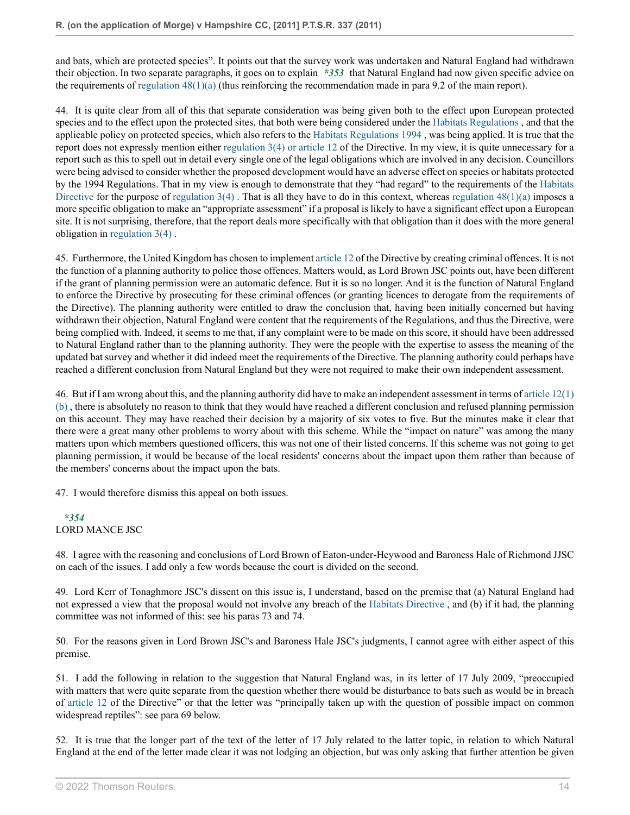and bats, which are protected species". It points out that the survey work was undertaken and Natural England had withdrawn their objection. In two separate paragraphs, it goes on to explain *\*353* that Natural England had now given specific advice on the requirements of regulation  $48(1)(a)$  (thus reinforcing the recommendation made in para 9.2 of the main report).

44. It is quite clear from all of this that separate consideration was being given both to the effect upon European protected species and to the effect upon the protected sites, that both were being considered under the [Habitats Regulations](http://uk.westlaw.com/Document/I7787AEA0E42311DAA7CF8F68F6EE57AB/View/FullText.html?originationContext=document&transitionType=DocumentItem&vr=3.0&rs=PLUK1.0&contextData=(sc.Search)) , and that the applicable policy on protected species, which also refers to the [Habitats Regulations 1994](http://uk.westlaw.com/Document/I7787AEA0E42311DAA7CF8F68F6EE57AB/View/FullText.html?originationContext=document&transitionType=DocumentItem&vr=3.0&rs=PLUK1.0&contextData=(sc.Search)) , was being applied. It is true that the report does not expressly mention either [regulation 3\(4\) or article 12](http://uk.westlaw.com/Document/I2E7B1B84B63844289D4DF2BB1F56AEE0/View/FullText.html?originationContext=document&transitionType=DocumentItem&vr=3.0&rs=PLUK1.0&contextData=(sc.Search)) of the Directive. In my view, it is quite unnecessary for a report such as this to spell out in detail every single one of the legal obligations which are involved in any decision. Councillors were being advised to consider whether the proposed development would have an adverse effect on species or habitats protected by the 1994 Regulations. That in my view is enough to demonstrate that they "had regard" to the requirements of the [Habitats](http://uk.westlaw.com/Document/IAA7294502D9F11DFA748AC566F7AB34B/View/FullText.html?originationContext=document&transitionType=DocumentItem&vr=3.0&rs=PLUK1.0&contextData=(sc.Search)) [Directive](http://uk.westlaw.com/Document/IAA7294502D9F11DFA748AC566F7AB34B/View/FullText.html?originationContext=document&transitionType=DocumentItem&vr=3.0&rs=PLUK1.0&contextData=(sc.Search)) for the purpose of regulation  $3(4)$ . That is all they have to do in this context, whereas regulation  $48(1)(a)$  imposes a more specific obligation to make an "appropriate assessment" if a proposal is likely to have a significant effect upon a European site. It is not surprising, therefore, that the report deals more specifically with that obligation than it does with the more general obligation in [regulation 3\(4\)](http://uk.westlaw.com/Document/I0E537660E44811DA8D70A0E70A78ED65/View/FullText.html?originationContext=document&transitionType=DocumentItem&vr=3.0&rs=PLUK1.0&contextData=(sc.Search)) .

45. Furthermore, the United Kingdom has chosen to implement [article 12](http://uk.westlaw.com/Document/I2E7B1B84B63844289D4DF2BB1F56AEE0/View/FullText.html?originationContext=document&transitionType=DocumentItem&vr=3.0&rs=PLUK1.0&contextData=(sc.Search)) of the Directive by creating criminal offences. It is not the function of a planning authority to police those offences. Matters would, as Lord Brown JSC points out, have been different if the grant of planning permission were an automatic defence. But it is so no longer. And it is the function of Natural England to enforce the Directive by prosecuting for these criminal offences (or granting licences to derogate from the requirements of the Directive). The planning authority were entitled to draw the conclusion that, having been initially concerned but having withdrawn their objection, Natural England were content that the requirements of the Regulations, and thus the Directive, were being complied with. Indeed, it seems to me that, if any complaint were to be made on this score, it should have been addressed to Natural England rather than to the planning authority. They were the people with the expertise to assess the meaning of the updated bat survey and whether it did indeed meet the requirements of the Directive. The planning authority could perhaps have reached a different conclusion from Natural England but they were not required to make their own independent assessment.

46. But if I am wrong about this, and the planning authority did have to make an independent assessment in terms of [article 12\(1\)](http://uk.westlaw.com/Document/I2E7B1B84B63844289D4DF2BB1F56AEE0/View/FullText.html?originationContext=document&transitionType=DocumentItem&vr=3.0&rs=PLUK1.0&contextData=(sc.Search)) [\(b\)](http://uk.westlaw.com/Document/I2E7B1B84B63844289D4DF2BB1F56AEE0/View/FullText.html?originationContext=document&transitionType=DocumentItem&vr=3.0&rs=PLUK1.0&contextData=(sc.Search)) , there is absolutely no reason to think that they would have reached a different conclusion and refused planning permission on this account. They may have reached their decision by a majority of six votes to five. But the minutes make it clear that there were a great many other problems to worry about with this scheme. While the "impact on nature" was among the many matters upon which members questioned officers, this was not one of their listed concerns. If this scheme was not going to get planning permission, it would be because of the local residents' concerns about the impact upon them rather than because of the members' concerns about the impact upon the bats.

47. I would therefore dismiss this appeal on both issues.

# *\*354*

#### LORD MANCE JSC

48. I agree with the reasoning and conclusions of Lord Brown of Eaton-under-Heywood and Baroness Hale of Richmond JJSC on each of the issues. I add only a few words because the court is divided on the second.

49. Lord Kerr of Tonaghmore JSC's dissent on this issue is, I understand, based on the premise that (a) Natural England had not expressed a view that the proposal would not involve any breach of the [Habitats Directive](http://uk.westlaw.com/Document/IAA7294502D9F11DFA748AC566F7AB34B/View/FullText.html?originationContext=document&transitionType=DocumentItem&vr=3.0&rs=PLUK1.0&contextData=(sc.Search)) , and (b) if it had, the planning committee was not informed of this: see his paras 73 and 74.

50. For the reasons given in Lord Brown JSC's and Baroness Hale JSC's judgments, I cannot agree with either aspect of this premise.

51. I add the following in relation to the suggestion that Natural England was, in its letter of 17 July 2009, "preoccupied with matters that were quite separate from the question whether there would be disturbance to bats such as would be in breach of [article 12](http://uk.westlaw.com/Document/I2E7B1B84B63844289D4DF2BB1F56AEE0/View/FullText.html?originationContext=document&transitionType=DocumentItem&vr=3.0&rs=PLUK1.0&contextData=(sc.Search)) of the Directive" or that the letter was "principally taken up with the question of possible impact on common widespread reptiles": see para 69 below.

52. It is true that the longer part of the text of the letter of 17 July related to the latter topic, in relation to which Natural England at the end of the letter made clear it was not lodging an objection, but was only asking that further attention be given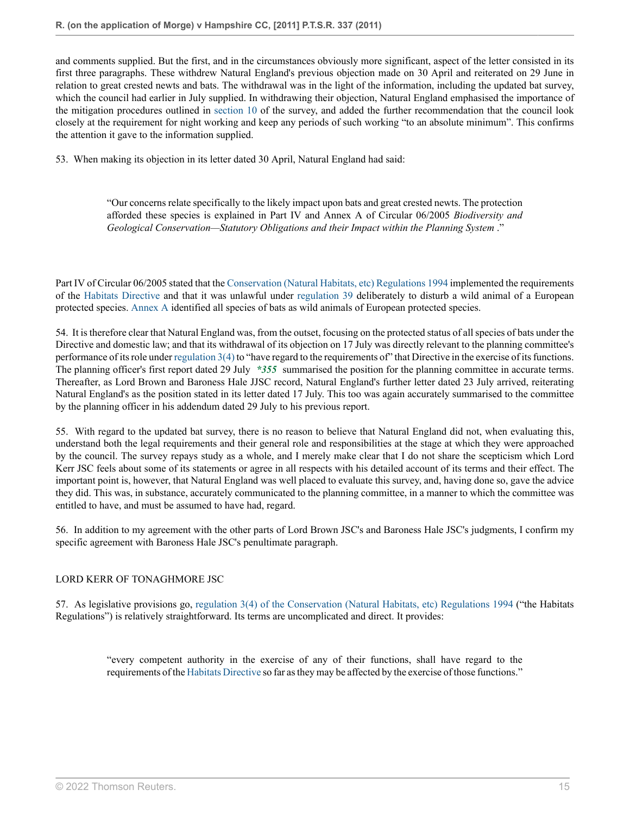and comments supplied. But the first, and in the circumstances obviously more significant, aspect of the letter consisted in its first three paragraphs. These withdrew Natural England's previous objection made on 30 April and reiterated on 29 June in relation to great crested newts and bats. The withdrawal was in the light of the information, including the updated bat survey, which the council had earlier in July supplied. In withdrawing their objection, Natural England emphasised the importance of the mitigation procedures outlined in [section 10](http://uk.westlaw.com/Document/I12E8A400E44A11DA8D70A0E70A78ED65/View/FullText.html?originationContext=document&transitionType=DocumentItem&vr=3.0&rs=PLUK1.0&contextData=(sc.Search)) of the survey, and added the further recommendation that the council look closely at the requirement for night working and keep any periods of such working "to an absolute minimum". This confirms the attention it gave to the information supplied.

53. When making its objection in its letter dated 30 April, Natural England had said:

"Our concerns relate specifically to the likely impact upon bats and great crested newts. The protection afforded these species is explained in Part IV and Annex A of Circular 06/2005 *Biodiversity and Geological Conservation—Statutory Obligations and their Impact within the Planning System* ."

Part IV of Circular 06/2005 stated that the [Conservation \(Natural Habitats, etc\) Regulations 1994](http://uk.westlaw.com/Document/I7787AEA0E42311DAA7CF8F68F6EE57AB/View/FullText.html?originationContext=document&transitionType=DocumentItem&vr=3.0&rs=PLUK1.0&contextData=(sc.Search)) implemented the requirements of the [Habitats Directive](http://uk.westlaw.com/Document/IAA7294502D9F11DFA748AC566F7AB34B/View/FullText.html?originationContext=document&transitionType=DocumentItem&vr=3.0&rs=PLUK1.0&contextData=(sc.Search)) and that it was unlawful under [regulation 39](http://uk.westlaw.com/Document/I12D82941E44A11DA8D70A0E70A78ED65/View/FullText.html?originationContext=document&transitionType=DocumentItem&vr=3.0&rs=PLUK1.0&contextData=(sc.Search)) deliberately to disturb a wild animal of a European protected species. [Annex A](http://uk.westlaw.com/Document/IAA7294502D9F11DFA748AC566F7AB34B/View/FullText.html?originationContext=document&transitionType=DocumentItem&vr=3.0&rs=PLUK1.0&contextData=(sc.Search)) identified all species of bats as wild animals of European protected species.

54. It is therefore clear that Natural England was, from the outset, focusing on the protected status of all species of bats under the Directive and domestic law; and that its withdrawal of its objection on 17 July was directly relevant to the planning committee's performance of its role under [regulation 3\(4\)](http://uk.westlaw.com/Document/I0E537660E44811DA8D70A0E70A78ED65/View/FullText.html?originationContext=document&transitionType=DocumentItem&vr=3.0&rs=PLUK1.0&contextData=(sc.Search)) to "have regard to the requirements of" that Directive in the exercise of its functions. The planning officer's first report dated 29 July *\*355* summarised the position for the planning committee in accurate terms. Thereafter, as Lord Brown and Baroness Hale JJSC record, Natural England's further letter dated 23 July arrived, reiterating Natural England's as the position stated in its letter dated 17 July. This too was again accurately summarised to the committee by the planning officer in his addendum dated 29 July to his previous report.

55. With regard to the updated bat survey, there is no reason to believe that Natural England did not, when evaluating this, understand both the legal requirements and their general role and responsibilities at the stage at which they were approached by the council. The survey repays study as a whole, and I merely make clear that I do not share the scepticism which Lord Kerr JSC feels about some of its statements or agree in all respects with his detailed account of its terms and their effect. The important point is, however, that Natural England was well placed to evaluate this survey, and, having done so, gave the advice they did. This was, in substance, accurately communicated to the planning committee, in a manner to which the committee was entitled to have, and must be assumed to have had, regard.

56. In addition to my agreement with the other parts of Lord Brown JSC's and Baroness Hale JSC's judgments, I confirm my specific agreement with Baroness Hale JSC's penultimate paragraph.

# LORD KERR OF TONAGHMORE JSC

57. As legislative provisions go, [regulation 3\(4\) of the Conservation \(Natural Habitats, etc\) Regulations 1994](http://uk.westlaw.com/Document/I0E537660E44811DA8D70A0E70A78ED65/View/FullText.html?originationContext=document&transitionType=DocumentItem&vr=3.0&rs=PLUK1.0&contextData=(sc.Search)) ("the Habitats Regulations") is relatively straightforward. Its terms are uncomplicated and direct. It provides:

> "every competent authority in the exercise of any of their functions, shall have regard to the requirements of the [Habitats Directive](http://uk.westlaw.com/Document/I2E7B1B84B63844289D4DF2BB1F56AEE0/View/FullText.html?originationContext=document&transitionType=DocumentItem&vr=3.0&rs=PLUK1.0&contextData=(sc.Search)) so far as they may be affected by the exercise of those functions."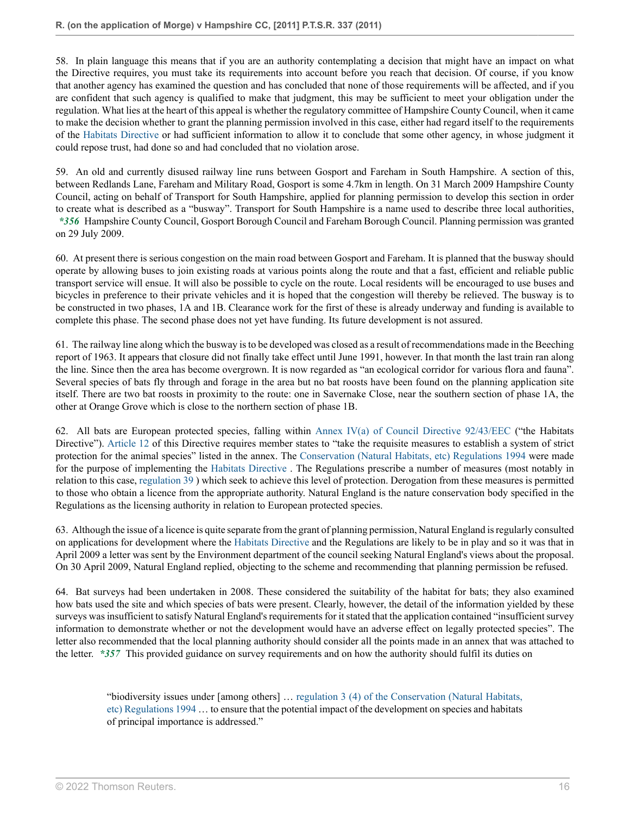58. In plain language this means that if you are an authority contemplating a decision that might have an impact on what the Directive requires, you must take its requirements into account before you reach that decision. Of course, if you know that another agency has examined the question and has concluded that none of those requirements will be affected, and if you are confident that such agency is qualified to make that judgment, this may be sufficient to meet your obligation under the regulation. What lies at the heart of this appeal is whether the regulatory committee of Hampshire County Council, when it came to make the decision whether to grant the planning permission involved in this case, either had regard itself to the requirements of the [Habitats Directive](http://uk.westlaw.com/Document/I2E7B1B84B63844289D4DF2BB1F56AEE0/View/FullText.html?originationContext=document&transitionType=DocumentItem&vr=3.0&rs=PLUK1.0&contextData=(sc.Search)) or had sufficient information to allow it to conclude that some other agency, in whose judgment it could repose trust, had done so and had concluded that no violation arose.

59. An old and currently disused railway line runs between Gosport and Fareham in South Hampshire. A section of this, between Redlands Lane, Fareham and Military Road, Gosport is some 4.7km in length. On 31 March 2009 Hampshire County Council, acting on behalf of Transport for South Hampshire, applied for planning permission to develop this section in order to create what is described as a "busway". Transport for South Hampshire is a name used to describe three local authorities, *\*356* Hampshire County Council, Gosport Borough Council and Fareham Borough Council. Planning permission was granted on 29 July 2009.

60. At present there is serious congestion on the main road between Gosport and Fareham. It is planned that the busway should operate by allowing buses to join existing roads at various points along the route and that a fast, efficient and reliable public transport service will ensue. It will also be possible to cycle on the route. Local residents will be encouraged to use buses and bicycles in preference to their private vehicles and it is hoped that the congestion will thereby be relieved. The busway is to be constructed in two phases, 1A and 1B. Clearance work for the first of these is already underway and funding is available to complete this phase. The second phase does not yet have funding. Its future development is not assured.

61. The railway line along which the busway is to be developed was closed as a result of recommendations made in the Beeching report of 1963. It appears that closure did not finally take effect until June 1991, however. In that month the last train ran along the line. Since then the area has become overgrown. It is now regarded as "an ecological corridor for various flora and fauna". Several species of bats fly through and forage in the area but no bat roosts have been found on the planning application site itself. There are two bat roosts in proximity to the route: one in Savernake Close, near the southern section of phase 1A, the other at Orange Grove which is close to the northern section of phase 1B.

62. All bats are European protected species, falling within [Annex IV\(a\) of Council Directive 92/43/EEC](http://uk.westlaw.com/Document/I2E7B1B84B63844289D4DF2BB1F56AEE0/View/FullText.html?originationContext=document&transitionType=DocumentItem&vr=3.0&rs=PLUK1.0&contextData=(sc.Search)) ("the Habitats Directive"). [Article 12](http://uk.westlaw.com/Document/I2E7B1B84B63844289D4DF2BB1F56AEE0/View/FullText.html?originationContext=document&transitionType=DocumentItem&vr=3.0&rs=PLUK1.0&contextData=(sc.Search)) of this Directive requires member states to "take the requisite measures to establish a system of strict protection for the animal species" listed in the annex. The [Conservation \(Natural Habitats, etc\) Regulations 1994](http://uk.westlaw.com/Document/I7787AEA0E42311DAA7CF8F68F6EE57AB/View/FullText.html?originationContext=document&transitionType=DocumentItem&vr=3.0&rs=PLUK1.0&contextData=(sc.Search)) were made for the purpose of implementing the [Habitats Directive](http://uk.westlaw.com/Document/I2E7B1B84B63844289D4DF2BB1F56AEE0/View/FullText.html?originationContext=document&transitionType=DocumentItem&vr=3.0&rs=PLUK1.0&contextData=(sc.Search)) . The Regulations prescribe a number of measures (most notably in relation to this case, [regulation 39](http://uk.westlaw.com/Document/I12D82941E44A11DA8D70A0E70A78ED65/View/FullText.html?originationContext=document&transitionType=DocumentItem&vr=3.0&rs=PLUK1.0&contextData=(sc.Search)) ) which seek to achieve this level of protection. Derogation from these measures is permitted to those who obtain a licence from the appropriate authority. Natural England is the nature conservation body specified in the Regulations as the licensing authority in relation to European protected species.

63. Although the issue of a licence is quite separate from the grant of planning permission, Natural England is regularly consulted on applications for development where the [Habitats Directive](http://uk.westlaw.com/Document/I2E7B1B84B63844289D4DF2BB1F56AEE0/View/FullText.html?originationContext=document&transitionType=DocumentItem&vr=3.0&rs=PLUK1.0&contextData=(sc.Search)) and the Regulations are likely to be in play and so it was that in April 2009 a letter was sent by the Environment department of the council seeking Natural England's views about the proposal. On 30 April 2009, Natural England replied, objecting to the scheme and recommending that planning permission be refused.

64. Bat surveys had been undertaken in 2008. These considered the suitability of the habitat for bats; they also examined how bats used the site and which species of bats were present. Clearly, however, the detail of the information yielded by these surveys was insufficient to satisfy Natural England's requirements for it stated that the application contained "insufficient survey information to demonstrate whether or not the development would have an adverse effect on legally protected species". The letter also recommended that the local planning authority should consider all the points made in an annex that was attached to the letter. *\*357* This provided guidance on survey requirements and on how the authority should fulfil its duties on

> "biodiversity issues under [among others] … [regulation 3 \(4\) of the Conservation \(Natural Habitats,](http://uk.westlaw.com/Document/I0E537660E44811DA8D70A0E70A78ED65/View/FullText.html?originationContext=document&transitionType=DocumentItem&vr=3.0&rs=PLUK1.0&contextData=(sc.Search)) [etc\) Regulations 1994](http://uk.westlaw.com/Document/I0E537660E44811DA8D70A0E70A78ED65/View/FullText.html?originationContext=document&transitionType=DocumentItem&vr=3.0&rs=PLUK1.0&contextData=(sc.Search)) … to ensure that the potential impact of the development on species and habitats of principal importance is addressed."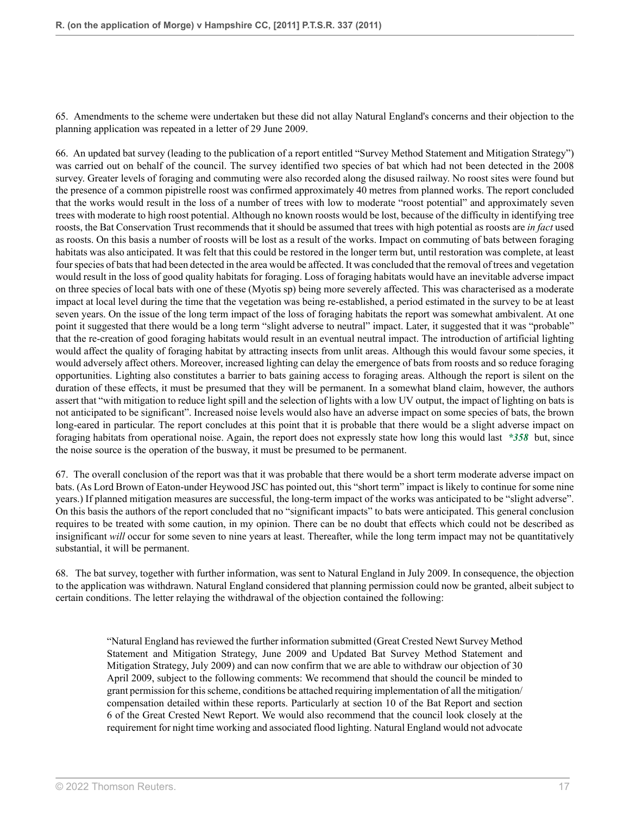65. Amendments to the scheme were undertaken but these did not allay Natural England's concerns and their objection to the planning application was repeated in a letter of 29 June 2009.

66. An updated bat survey (leading to the publication of a report entitled "Survey Method Statement and Mitigation Strategy") was carried out on behalf of the council. The survey identified two species of bat which had not been detected in the 2008 survey. Greater levels of foraging and commuting were also recorded along the disused railway. No roost sites were found but the presence of a common pipistrelle roost was confirmed approximately 40 metres from planned works. The report concluded that the works would result in the loss of a number of trees with low to moderate "roost potential" and approximately seven trees with moderate to high roost potential. Although no known roosts would be lost, because of the difficulty in identifying tree roosts, the Bat Conservation Trust recommends that it should be assumed that trees with high potential as roosts are *in fact* used as roosts. On this basis a number of roosts will be lost as a result of the works. Impact on commuting of bats between foraging habitats was also anticipated. It was felt that this could be restored in the longer term but, until restoration was complete, at least four species of bats that had been detected in the area would be affected. It was concluded that the removal of trees and vegetation would result in the loss of good quality habitats for foraging. Loss of foraging habitats would have an inevitable adverse impact on three species of local bats with one of these (Myotis sp) being more severely affected. This was characterised as a moderate impact at local level during the time that the vegetation was being re-established, a period estimated in the survey to be at least seven years. On the issue of the long term impact of the loss of foraging habitats the report was somewhat ambivalent. At one point it suggested that there would be a long term "slight adverse to neutral" impact. Later, it suggested that it was "probable" that the re-creation of good foraging habitats would result in an eventual neutral impact. The introduction of artificial lighting would affect the quality of foraging habitat by attracting insects from unlit areas. Although this would favour some species, it would adversely affect others. Moreover, increased lighting can delay the emergence of bats from roosts and so reduce foraging opportunities. Lighting also constitutes a barrier to bats gaining access to foraging areas. Although the report is silent on the duration of these effects, it must be presumed that they will be permanent. In a somewhat bland claim, however, the authors assert that "with mitigation to reduce light spill and the selection of lights with a low UV output, the impact of lighting on bats is not anticipated to be significant". Increased noise levels would also have an adverse impact on some species of bats, the brown long-eared in particular. The report concludes at this point that it is probable that there would be a slight adverse impact on foraging habitats from operational noise. Again, the report does not expressly state how long this would last *\*358* but, since the noise source is the operation of the busway, it must be presumed to be permanent.

67. The overall conclusion of the report was that it was probable that there would be a short term moderate adverse impact on bats. (As Lord Brown of Eaton-under Heywood JSC has pointed out, this "short term" impact is likely to continue for some nine years.) If planned mitigation measures are successful, the long-term impact of the works was anticipated to be "slight adverse". On this basis the authors of the report concluded that no "significant impacts" to bats were anticipated. This general conclusion requires to be treated with some caution, in my opinion. There can be no doubt that effects which could not be described as insignificant *will* occur for some seven to nine years at least. Thereafter, while the long term impact may not be quantitatively substantial, it will be permanent.

68. The bat survey, together with further information, was sent to Natural England in July 2009. In consequence, the objection to the application was withdrawn. Natural England considered that planning permission could now be granted, albeit subject to certain conditions. The letter relaying the withdrawal of the objection contained the following:

> "Natural England has reviewed the further information submitted (Great Crested Newt Survey Method Statement and Mitigation Strategy, June 2009 and Updated Bat Survey Method Statement and Mitigation Strategy, July 2009) and can now confirm that we are able to withdraw our objection of 30 April 2009, subject to the following comments: We recommend that should the council be minded to grant permission for this scheme, conditions be attached requiring implementation of all the mitigation/ compensation detailed within these reports. Particularly at section 10 of the Bat Report and section 6 of the Great Crested Newt Report. We would also recommend that the council look closely at the requirement for night time working and associated flood lighting. Natural England would not advocate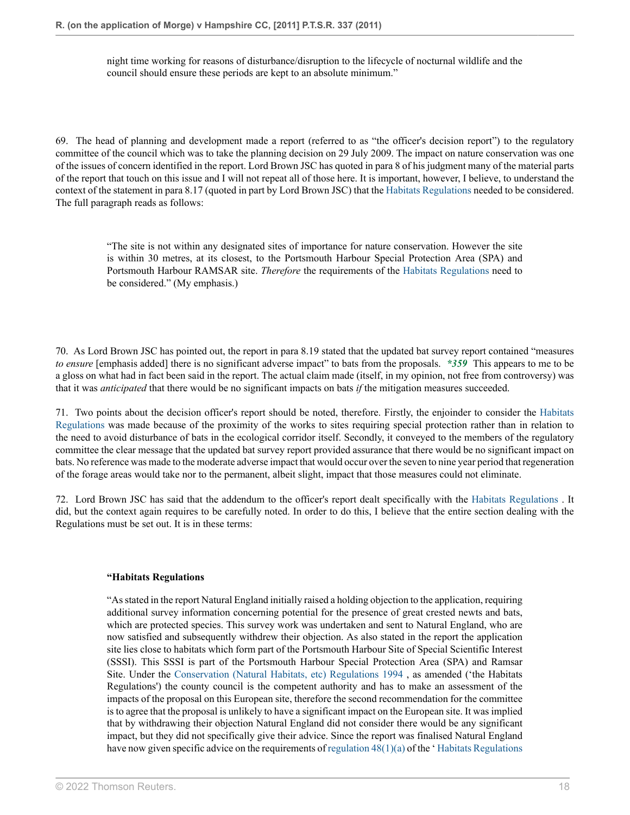night time working for reasons of disturbance/disruption to the lifecycle of nocturnal wildlife and the council should ensure these periods are kept to an absolute minimum."

69. The head of planning and development made a report (referred to as "the officer's decision report") to the regulatory committee of the council which was to take the planning decision on 29 July 2009. The impact on nature conservation was one of the issues of concern identified in the report. Lord Brown JSC has quoted in para 8 of his judgment many of the material parts of the report that touch on this issue and I will not repeat all of those here. It is important, however, I believe, to understand the context of the statement in para 8.17 (quoted in part by Lord Brown JSC) that the [Habitats Regulations](http://uk.westlaw.com/Document/I7787AEA0E42311DAA7CF8F68F6EE57AB/View/FullText.html?originationContext=document&transitionType=DocumentItem&vr=3.0&rs=PLUK1.0&contextData=(sc.Search)) needed to be considered. The full paragraph reads as follows:

> "The site is not within any designated sites of importance for nature conservation. However the site is within 30 metres, at its closest, to the Portsmouth Harbour Special Protection Area (SPA) and Portsmouth Harbour RAMSAR site. *Therefore* the requirements of the [Habitats Regulations](http://uk.westlaw.com/Document/I7787AEA0E42311DAA7CF8F68F6EE57AB/View/FullText.html?originationContext=document&transitionType=DocumentItem&vr=3.0&rs=PLUK1.0&contextData=(sc.Search)) need to be considered." (My emphasis.)

70. As Lord Brown JSC has pointed out, the report in para 8.19 stated that the updated bat survey report contained "measures *to ensure* [emphasis added] there is no significant adverse impact" to bats from the proposals. *\*359* This appears to me to be a gloss on what had in fact been said in the report. The actual claim made (itself, in my opinion, not free from controversy) was that it was *anticipated* that there would be no significant impacts on bats *if* the mitigation measures succeeded.

71. Two points about the decision officer's report should be noted, therefore. Firstly, the enjoinder to consider the [Habitats](http://uk.westlaw.com/Document/I7787AEA0E42311DAA7CF8F68F6EE57AB/View/FullText.html?originationContext=document&transitionType=DocumentItem&vr=3.0&rs=PLUK1.0&contextData=(sc.Search)) [Regulations](http://uk.westlaw.com/Document/I7787AEA0E42311DAA7CF8F68F6EE57AB/View/FullText.html?originationContext=document&transitionType=DocumentItem&vr=3.0&rs=PLUK1.0&contextData=(sc.Search)) was made because of the proximity of the works to sites requiring special protection rather than in relation to the need to avoid disturbance of bats in the ecological corridor itself. Secondly, it conveyed to the members of the regulatory committee the clear message that the updated bat survey report provided assurance that there would be no significant impact on bats. No reference was made to the moderate adverse impact that would occur over the seven to nine year period that regeneration of the forage areas would take nor to the permanent, albeit slight, impact that those measures could not eliminate.

72. Lord Brown JSC has said that the addendum to the officer's report dealt specifically with the [Habitats Regulations](http://uk.westlaw.com/Document/I7787AEA0E42311DAA7CF8F68F6EE57AB/View/FullText.html?originationContext=document&transitionType=DocumentItem&vr=3.0&rs=PLUK1.0&contextData=(sc.Search)) . It did, but the context again requires to be carefully noted. In order to do this, I believe that the entire section dealing with the Regulations must be set out. It is in these terms:

# **"Habitats Regulations**

"As stated in the report Natural England initially raised a holding objection to the application, requiring additional survey information concerning potential for the presence of great crested newts and bats, which are protected species. This survey work was undertaken and sent to Natural England, who are now satisfied and subsequently withdrew their objection. As also stated in the report the application site lies close to habitats which form part of the Portsmouth Harbour Site of Special Scientific Interest (SSSI). This SSSI is part of the Portsmouth Harbour Special Protection Area (SPA) and Ramsar Site. Under the Conservation (Natural Habitats, etc) Regulations 1994, as amended ('the Habitats Regulations') the county council is the competent authority and has to make an assessment of the impacts of the proposal on this European site, therefore the second recommendation for the committee is to agree that the proposal is unlikely to have a significant impact on the European site. It was implied that by withdrawing their objection Natural England did not consider there would be any significant impact, but they did not specifically give their advice. Since the report was finalised Natural England have now given specific advice on the requirements of [regulation 48\(1\)\(a\)](http://uk.westlaw.com/Document/IAA83AB512D9F11DFA748AC566F7AB34B/View/FullText.html?originationContext=document&transitionType=DocumentItem&vr=3.0&rs=PLUK1.0&contextData=(sc.Search)) of the ' [Habitats Regulations](http://uk.westlaw.com/Document/I7787AEA0E42311DAA7CF8F68F6EE57AB/View/FullText.html?originationContext=document&transitionType=DocumentItem&vr=3.0&rs=PLUK1.0&contextData=(sc.Search))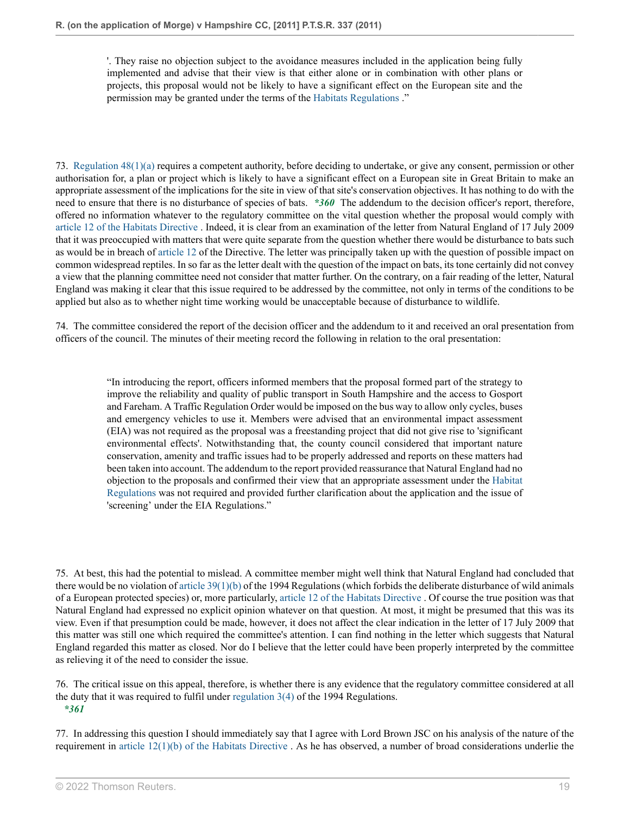'. They raise no objection subject to the avoidance measures included in the application being fully implemented and advise that their view is that either alone or in combination with other plans or projects, this proposal would not be likely to have a significant effect on the European site and the permission may be granted under the terms of the [Habitats Regulations](http://uk.westlaw.com/Document/IAA7294502D9F11DFA748AC566F7AB34B/View/FullText.html?originationContext=document&transitionType=DocumentItem&vr=3.0&rs=PLUK1.0&contextData=(sc.Search)) ."

73. [Regulation 48\(1\)\(a\)](http://uk.westlaw.com/Document/IAA83AB512D9F11DFA748AC566F7AB34B/View/FullText.html?originationContext=document&transitionType=DocumentItem&vr=3.0&rs=PLUK1.0&contextData=(sc.Search)) requires a competent authority, before deciding to undertake, or give any consent, permission or other authorisation for, a plan or project which is likely to have a significant effect on a European site in Great Britain to make an appropriate assessment of the implications for the site in view of that site's conservation objectives. It has nothing to do with the need to ensure that there is no disturbance of species of bats. *\*360* The addendum to the decision officer's report, therefore, offered no information whatever to the regulatory committee on the vital question whether the proposal would comply with [article 12 of the Habitats Directive](http://uk.westlaw.com/Document/I2E7B1B84B63844289D4DF2BB1F56AEE0/View/FullText.html?originationContext=document&transitionType=DocumentItem&vr=3.0&rs=PLUK1.0&contextData=(sc.Search)) . Indeed, it is clear from an examination of the letter from Natural England of 17 July 2009 that it was preoccupied with matters that were quite separate from the question whether there would be disturbance to bats such as would be in breach of [article 12](http://uk.westlaw.com/Document/I2E7B1B84B63844289D4DF2BB1F56AEE0/View/FullText.html?originationContext=document&transitionType=DocumentItem&vr=3.0&rs=PLUK1.0&contextData=(sc.Search)) of the Directive. The letter was principally taken up with the question of possible impact on common widespread reptiles. In so far as the letter dealt with the question of the impact on bats, its tone certainly did not convey a view that the planning committee need not consider that matter further. On the contrary, on a fair reading of the letter, Natural England was making it clear that this issue required to be addressed by the committee, not only in terms of the conditions to be applied but also as to whether night time working would be unacceptable because of disturbance to wildlife.

74. The committee considered the report of the decision officer and the addendum to it and received an oral presentation from officers of the council. The minutes of their meeting record the following in relation to the oral presentation:

> "In introducing the report, officers informed members that the proposal formed part of the strategy to improve the reliability and quality of public transport in South Hampshire and the access to Gosport and Fareham. A Traffic Regulation Order would be imposed on the bus way to allow only cycles, buses and emergency vehicles to use it. Members were advised that an environmental impact assessment (EIA) was not required as the proposal was a freestanding project that did not give rise to 'significant environmental effects'. Notwithstanding that, the county council considered that important nature conservation, amenity and traffic issues had to be properly addressed and reports on these matters had been taken into account. The addendum to the report provided reassurance that Natural England had no objection to the proposals and confirmed their view that an appropriate assessment under the [Habitat](http://uk.westlaw.com/Document/I7787AEA0E42311DAA7CF8F68F6EE57AB/View/FullText.html?originationContext=document&transitionType=DocumentItem&vr=3.0&rs=PLUK1.0&contextData=(sc.Search)) [Regulations](http://uk.westlaw.com/Document/I7787AEA0E42311DAA7CF8F68F6EE57AB/View/FullText.html?originationContext=document&transitionType=DocumentItem&vr=3.0&rs=PLUK1.0&contextData=(sc.Search)) was not required and provided further clarification about the application and the issue of 'screening' under the EIA Regulations."

75. At best, this had the potential to mislead. A committee member might well think that Natural England had concluded that there would be no violation of [article 39\(1\)\(b\)](http://uk.westlaw.com/Document/I7787AEA0E42311DAA7CF8F68F6EE57AB/View/FullText.html?originationContext=document&transitionType=DocumentItem&vr=3.0&rs=PLUK1.0&contextData=(sc.Search)) of the 1994 Regulations (which forbids the deliberate disturbance of wild animals of a European protected species) or, more particularly, [article 12 of the Habitats Directive](http://uk.westlaw.com/Document/I2E7B1B84B63844289D4DF2BB1F56AEE0/View/FullText.html?originationContext=document&transitionType=DocumentItem&vr=3.0&rs=PLUK1.0&contextData=(sc.Search)) . Of course the true position was that Natural England had expressed no explicit opinion whatever on that question. At most, it might be presumed that this was its view. Even if that presumption could be made, however, it does not affect the clear indication in the letter of 17 July 2009 that this matter was still one which required the committee's attention. I can find nothing in the letter which suggests that Natural England regarded this matter as closed. Nor do I believe that the letter could have been properly interpreted by the committee as relieving it of the need to consider the issue.

76. The critical issue on this appeal, therefore, is whether there is any evidence that the regulatory committee considered at all the duty that it was required to fulfil under [regulation 3\(4\)](http://uk.westlaw.com/Document/I0E537660E44811DA8D70A0E70A78ED65/View/FullText.html?originationContext=document&transitionType=DocumentItem&vr=3.0&rs=PLUK1.0&contextData=(sc.Search)) of the 1994 Regulations. *\*361*

77. In addressing this question I should immediately say that I agree with Lord Brown JSC on his analysis of the nature of the requirement in [article 12\(1\)\(b\) of the Habitats Directive](http://uk.westlaw.com/Document/I2E7B1B84B63844289D4DF2BB1F56AEE0/View/FullText.html?originationContext=document&transitionType=DocumentItem&vr=3.0&rs=PLUK1.0&contextData=(sc.Search)) . As he has observed, a number of broad considerations underlie the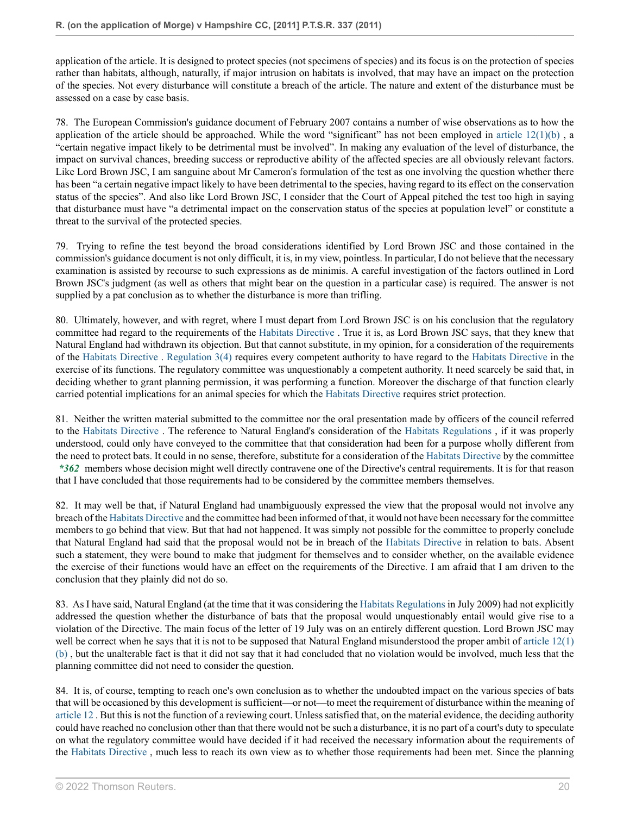application of the article. It is designed to protect species (not specimens of species) and its focus is on the protection of species rather than habitats, although, naturally, if major intrusion on habitats is involved, that may have an impact on the protection of the species. Not every disturbance will constitute a breach of the article. The nature and extent of the disturbance must be assessed on a case by case basis.

78. The European Commission's guidance document of February 2007 contains a number of wise observations as to how the application of the article should be approached. While the word "significant" has not been employed in article  $12(1)(b)$ , a "certain negative impact likely to be detrimental must be involved". In making any evaluation of the level of disturbance, the impact on survival chances, breeding success or reproductive ability of the affected species are all obviously relevant factors. Like Lord Brown JSC, I am sanguine about Mr Cameron's formulation of the test as one involving the question whether there has been "a certain negative impact likely to have been detrimental to the species, having regard to its effect on the conservation status of the species". And also like Lord Brown JSC, I consider that the Court of Appeal pitched the test too high in saying that disturbance must have "a detrimental impact on the conservation status of the species at population level" or constitute a threat to the survival of the protected species.

79. Trying to refine the test beyond the broad considerations identified by Lord Brown JSC and those contained in the commission's guidance document is not only difficult, it is, in my view, pointless. In particular, I do not believe that the necessary examination is assisted by recourse to such expressions as de minimis. A careful investigation of the factors outlined in Lord Brown JSC's judgment (as well as others that might bear on the question in a particular case) is required. The answer is not supplied by a pat conclusion as to whether the disturbance is more than trifling.

80. Ultimately, however, and with regret, where I must depart from Lord Brown JSC is on his conclusion that the regulatory committee had regard to the requirements of the [Habitats Directive](http://uk.westlaw.com/Document/I2E7B1B84B63844289D4DF2BB1F56AEE0/View/FullText.html?originationContext=document&transitionType=DocumentItem&vr=3.0&rs=PLUK1.0&contextData=(sc.Search)) . True it is, as Lord Brown JSC says, that they knew that Natural England had withdrawn its objection. But that cannot substitute, in my opinion, for a consideration of the requirements of the [Habitats Directive](http://uk.westlaw.com/Document/I2E7B1B84B63844289D4DF2BB1F56AEE0/View/FullText.html?originationContext=document&transitionType=DocumentItem&vr=3.0&rs=PLUK1.0&contextData=(sc.Search)) . [Regulation 3\(4\)](http://uk.westlaw.com/Document/I0E537660E44811DA8D70A0E70A78ED65/View/FullText.html?originationContext=document&transitionType=DocumentItem&vr=3.0&rs=PLUK1.0&contextData=(sc.Search)) requires every competent authority to have regard to the [Habitats Directive](http://uk.westlaw.com/Document/I2E7B1B84B63844289D4DF2BB1F56AEE0/View/FullText.html?originationContext=document&transitionType=DocumentItem&vr=3.0&rs=PLUK1.0&contextData=(sc.Search)) in the exercise of its functions. The regulatory committee was unquestionably a competent authority. It need scarcely be said that, in deciding whether to grant planning permission, it was performing a function. Moreover the discharge of that function clearly carried potential implications for an animal species for which the [Habitats Directive](http://uk.westlaw.com/Document/I2E7B1B84B63844289D4DF2BB1F56AEE0/View/FullText.html?originationContext=document&transitionType=DocumentItem&vr=3.0&rs=PLUK1.0&contextData=(sc.Search)) requires strict protection.

81. Neither the written material submitted to the committee nor the oral presentation made by officers of the council referred to the [Habitats Directive](http://uk.westlaw.com/Document/I2E7B1B84B63844289D4DF2BB1F56AEE0/View/FullText.html?originationContext=document&transitionType=DocumentItem&vr=3.0&rs=PLUK1.0&contextData=(sc.Search)) . The reference to Natural England's consideration of the [Habitats Regulations](http://uk.westlaw.com/Document/I7787AEA0E42311DAA7CF8F68F6EE57AB/View/FullText.html?originationContext=document&transitionType=DocumentItem&vr=3.0&rs=PLUK1.0&contextData=(sc.Search)) , if it was properly understood, could only have conveyed to the committee that that consideration had been for a purpose wholly different from the need to protect bats. It could in no sense, therefore, substitute for a consideration of the [Habitats Directive](http://uk.westlaw.com/Document/I2E7B1B84B63844289D4DF2BB1F56AEE0/View/FullText.html?originationContext=document&transitionType=DocumentItem&vr=3.0&rs=PLUK1.0&contextData=(sc.Search)) by the committee *\*362* members whose decision might well directly contravene one of the Directive's central requirements. It is for that reason that I have concluded that those requirements had to be considered by the committee members themselves.

82. It may well be that, if Natural England had unambiguously expressed the view that the proposal would not involve any breach of the [Habitats Directive](http://uk.westlaw.com/Document/I2E7B1B84B63844289D4DF2BB1F56AEE0/View/FullText.html?originationContext=document&transitionType=DocumentItem&vr=3.0&rs=PLUK1.0&contextData=(sc.Search)) and the committee had been informed of that, it would not have been necessary for the committee members to go behind that view. But that had not happened. It was simply not possible for the committee to properly conclude that Natural England had said that the proposal would not be in breach of the [Habitats Directive](http://uk.westlaw.com/Document/I2E7B1B84B63844289D4DF2BB1F56AEE0/View/FullText.html?originationContext=document&transitionType=DocumentItem&vr=3.0&rs=PLUK1.0&contextData=(sc.Search)) in relation to bats. Absent such a statement, they were bound to make that judgment for themselves and to consider whether, on the available evidence the exercise of their functions would have an effect on the requirements of the Directive. I am afraid that I am driven to the conclusion that they plainly did not do so.

83. As I have said, Natural England (at the time that it was considering the [Habitats Regulations](http://uk.westlaw.com/Document/I7787AEA0E42311DAA7CF8F68F6EE57AB/View/FullText.html?originationContext=document&transitionType=DocumentItem&vr=3.0&rs=PLUK1.0&contextData=(sc.Search)) in July 2009) had not explicitly addressed the question whether the disturbance of bats that the proposal would unquestionably entail would give rise to a violation of the Directive. The main focus of the letter of 19 July was on an entirely different question. Lord Brown JSC may well be correct when he says that it is not to be supposed that Natural England misunderstood the proper ambit of [article 12\(1\)](http://uk.westlaw.com/Document/I2E7B1B84B63844289D4DF2BB1F56AEE0/View/FullText.html?originationContext=document&transitionType=DocumentItem&vr=3.0&rs=PLUK1.0&contextData=(sc.Search)) [\(b\)](http://uk.westlaw.com/Document/I2E7B1B84B63844289D4DF2BB1F56AEE0/View/FullText.html?originationContext=document&transitionType=DocumentItem&vr=3.0&rs=PLUK1.0&contextData=(sc.Search)) , but the unalterable fact is that it did not say that it had concluded that no violation would be involved, much less that the planning committee did not need to consider the question.

84. It is, of course, tempting to reach one's own conclusion as to whether the undoubted impact on the various species of bats that will be occasioned by this development is sufficient—or not—to meet the requirement of disturbance within the meaning of [article 12](http://uk.westlaw.com/Document/I2E7B1B84B63844289D4DF2BB1F56AEE0/View/FullText.html?originationContext=document&transitionType=DocumentItem&vr=3.0&rs=PLUK1.0&contextData=(sc.Search)) . But this is not the function of a reviewing court. Unless satisfied that, on the material evidence, the deciding authority could have reached no conclusion other than that there would not be such a disturbance, it is no part of a court's duty to speculate on what the regulatory committee would have decided if it had received the necessary information about the requirements of the [Habitats Directive](http://uk.westlaw.com/Document/I2E7B1B84B63844289D4DF2BB1F56AEE0/View/FullText.html?originationContext=document&transitionType=DocumentItem&vr=3.0&rs=PLUK1.0&contextData=(sc.Search)) , much less to reach its own view as to whether those requirements had been met. Since the planning